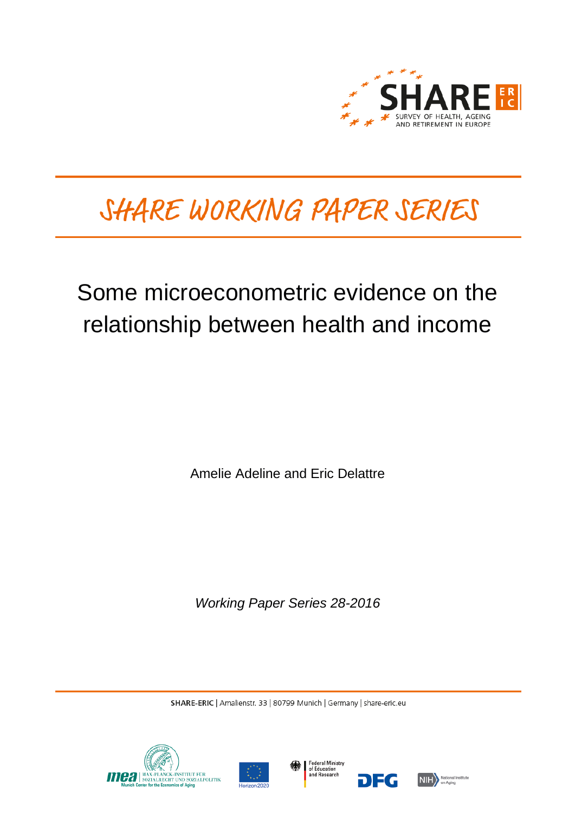

# SHARE WORKING PAPER SERIES

# Some microeconometric evidence on the relationship between health and income

Amelie Adeline and Eric Delattre

*Working Paper Series 28-2016*

SHARE-ERIC | Amalienstr. 33 | 80799 Munich | Germany | share-eric.eu







DEG

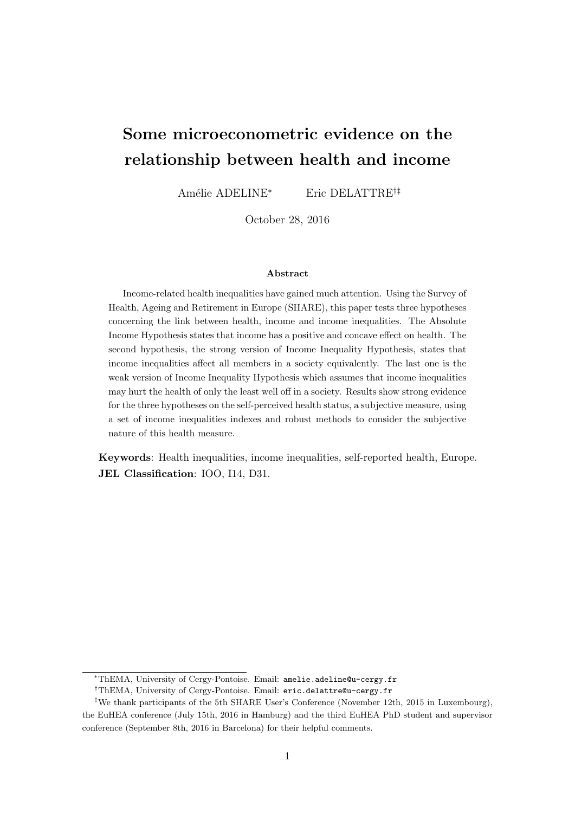# <span id="page-1-0"></span>Some microeconometric evidence on the relationship between health and income

Amélie ADELINE<sup>∗</sup> Eric DELATTRE<sup>†‡</sup>

October 28, 2016

#### Abstract

Income-related health inequalities have gained much attention. Using the Survey of Health, Ageing and Retirement in Europe (SHARE), this paper tests three hypotheses concerning the link between health, income and income inequalities. The Absolute Income Hypothesis states that income has a positive and concave effect on health. The second hypothesis, the strong version of Income Inequality Hypothesis, states that income inequalities affect all members in a society equivalently. The last one is the weak version of Income Inequality Hypothesis which assumes that income inequalities may hurt the health of only the least well off in a society. Results show strong evidence for the three hypotheses on the self-perceived health status, a subjective measure, using a set of income inequalities indexes and robust methods to consider the subjective nature of this health measure.

Keywords: Health inequalities, income inequalities, self-reported health, Europe. JEL Classification: IOO, I14, D31.

<sup>∗</sup>ThEMA, University of Cergy-Pontoise. Email: amelie.adeline@u-cergy.fr

<sup>†</sup>ThEMA, University of Cergy-Pontoise. Email: eric.delattre@u-cergy.fr

<sup>‡</sup>We thank participants of the 5th SHARE User's Conference (November 12th, 2015 in Luxembourg), the EuHEA conference (July 15th, 2016 in Hamburg) and the third EuHEA PhD student and supervisor conference (September 8th, 2016 in Barcelona) for their helpful comments.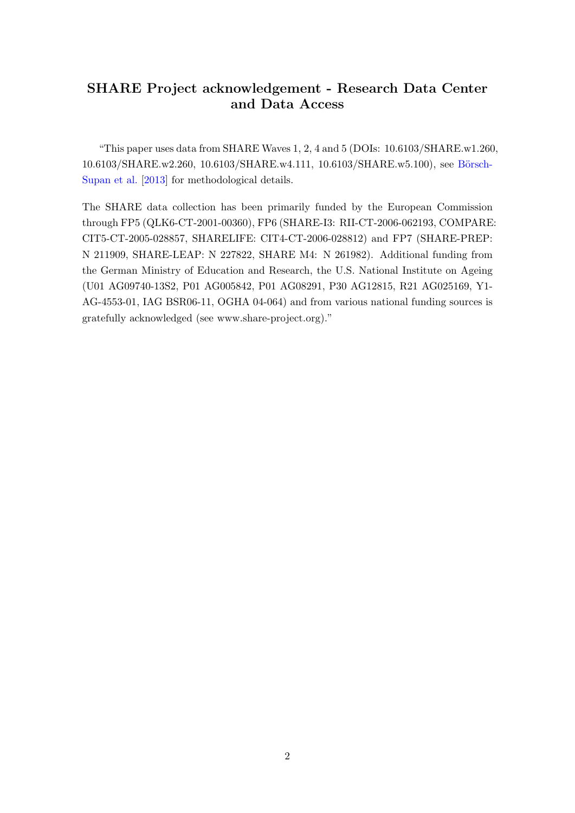# SHARE Project acknowledgement - Research Data Center and Data Access

"This paper uses data from SHARE Waves 1, 2, 4 and 5 (DOIs: 10.6103/SHARE.w1.260, 10.6103/SHARE.w2.260, 10.6103/SHARE.w4.111, 10.6103/SHARE.w5.100), see Börsch-[Supan et al.](#page-23-0) [\[2013\]](#page-23-0) for methodological details.

The SHARE data collection has been primarily funded by the European Commission through FP5 (QLK6-CT-2001-00360), FP6 (SHARE-I3: RII-CT-2006-062193, COMPARE: CIT5-CT-2005-028857, SHARELIFE: CIT4-CT-2006-028812) and FP7 (SHARE-PREP: N 211909, SHARE-LEAP: N 227822, SHARE M4: N 261982). Additional funding from the German Ministry of Education and Research, the U.S. National Institute on Ageing (U01 AG09740-13S2, P01 AG005842, P01 AG08291, P30 AG12815, R21 AG025169, Y1- AG-4553-01, IAG BSR06-11, OGHA 04-064) and from various national funding sources is gratefully acknowledged (see www.share-project.org)."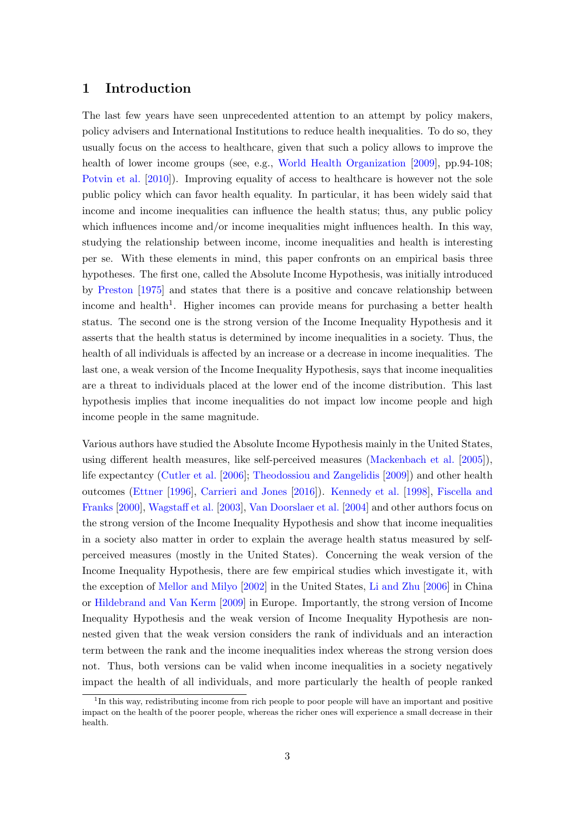### 1 Introduction

The last few years have seen unprecedented attention to an attempt by policy makers, policy advisers and International Institutions to reduce health inequalities. To do so, they usually focus on the access to healthcare, given that such a policy allows to improve the health of lower income groups (see, e.g., [World Health Organization](#page-25-0) [\[2009\]](#page-25-0), pp.94-108; [Potvin et al.](#page-25-1) [\[2010\]](#page-25-1)). Improving equality of access to healthcare is however not the sole public policy which can favor health equality. In particular, it has been widely said that income and income inequalities can influence the health status; thus, any public policy which influences income and/or income inequalities might influences health. In this way, studying the relationship between income, income inequalities and health is interesting per se. With these elements in mind, this paper confronts on an empirical basis three hypotheses. The first one, called the Absolute Income Hypothesis, was initially introduced by [Preston](#page-25-2) [\[1975\]](#page-25-2) and states that there is a positive and concave relationship between income and health<sup>[1](#page-1-0)</sup>. Higher incomes can provide means for purchasing a better health status. The second one is the strong version of the Income Inequality Hypothesis and it asserts that the health status is determined by income inequalities in a society. Thus, the health of all individuals is affected by an increase or a decrease in income inequalities. The last one, a weak version of the Income Inequality Hypothesis, says that income inequalities are a threat to individuals placed at the lower end of the income distribution. This last hypothesis implies that income inequalities do not impact low income people and high income people in the same magnitude.

Various authors have studied the Absolute Income Hypothesis mainly in the United States, using different health measures, like self-perceived measures [\(Mackenbach et al.](#page-24-0) [\[2005\]](#page-24-0)), life expectantcy [\(Cutler et al.](#page-23-1) [\[2006\]](#page-23-1); [Theodossiou and Zangelidis](#page-25-3) [\[2009\]](#page-25-3)) and other health outcomes [\(Ettner](#page-23-2) [\[1996\]](#page-23-2), [Carrieri and Jones](#page-23-3) [\[2016\]](#page-23-3)). [Kennedy et al.](#page-24-1) [\[1998\]](#page-24-1), [Fiscella and](#page-23-4) [Franks](#page-23-4) [\[2000\]](#page-23-4), [Wagstaff et al.](#page-25-4) [\[2003\]](#page-25-4), [Van Doorslaer et al.](#page-25-5) [\[2004\]](#page-25-5) and other authors focus on the strong version of the Income Inequality Hypothesis and show that income inequalities in a society also matter in order to explain the average health status measured by selfperceived measures (mostly in the United States). Concerning the weak version of the Income Inequality Hypothesis, there are few empirical studies which investigate it, with the exception of [Mellor and Milyo](#page-24-2) [\[2002\]](#page-24-2) in the United States, [Li and Zhu](#page-24-3) [\[2006\]](#page-24-3) in China or [Hildebrand and Van Kerm](#page-24-4) [\[2009\]](#page-24-4) in Europe. Importantly, the strong version of Income Inequality Hypothesis and the weak version of Income Inequality Hypothesis are nonnested given that the weak version considers the rank of individuals and an interaction term between the rank and the income inequalities index whereas the strong version does not. Thus, both versions can be valid when income inequalities in a society negatively impact the health of all individuals, and more particularly the health of people ranked

<sup>&</sup>lt;sup>1</sup>In this way, redistributing income from rich people to poor people will have an important and positive impact on the health of the poorer people, whereas the richer ones will experience a small decrease in their health.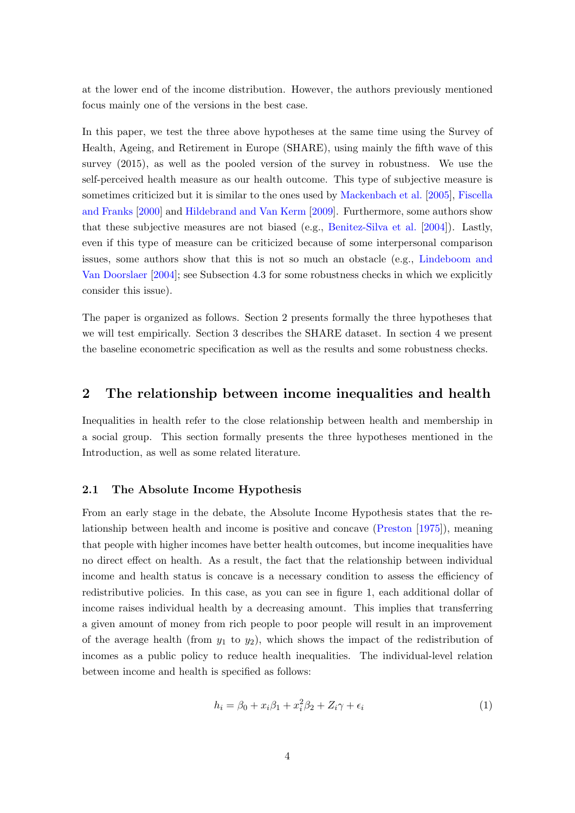at the lower end of the income distribution. However, the authors previously mentioned focus mainly one of the versions in the best case.

In this paper, we test the three above hypotheses at the same time using the Survey of Health, Ageing, and Retirement in Europe (SHARE), using mainly the fifth wave of this survey (2015), as well as the pooled version of the survey in robustness. We use the self-perceived health measure as our health outcome. This type of subjective measure is sometimes criticized but it is similar to the ones used by [Mackenbach et al.](#page-24-0) [\[2005\]](#page-24-0), [Fiscella](#page-23-4) [and Franks](#page-23-4) [\[2000\]](#page-23-4) and [Hildebrand and Van Kerm](#page-24-4) [\[2009\]](#page-24-4). Furthermore, some authors show that these subjective measures are not biased (e.g., [Benitez-Silva et al.](#page-23-5) [\[2004\]](#page-23-5)). Lastly, even if this type of measure can be criticized because of some interpersonal comparison issues, some authors show that this is not so much an obstacle (e.g., [Lindeboom and](#page-24-5) [Van Doorslaer](#page-24-5) [\[2004\]](#page-24-5); see Subsection 4.3 for some robustness checks in which we explicitly consider this issue).

The paper is organized as follows. Section 2 presents formally the three hypotheses that we will test empirically. Section 3 describes the SHARE dataset. In section 4 we present the baseline econometric specification as well as the results and some robustness checks.

### 2 The relationship between income inequalities and health

Inequalities in health refer to the close relationship between health and membership in a social group. This section formally presents the three hypotheses mentioned in the Introduction, as well as some related literature.

#### 2.1 The Absolute Income Hypothesis

From an early stage in the debate, the Absolute Income Hypothesis states that the relationship between health and income is positive and concave [\(Preston](#page-25-2) [\[1975\]](#page-25-2)), meaning that people with higher incomes have better health outcomes, but income inequalities have no direct effect on health. As a result, the fact that the relationship between individual income and health status is concave is a necessary condition to assess the efficiency of redistributive policies. In this case, as you can see in figure [1,](#page-5-0) each additional dollar of income raises individual health by a decreasing amount. This implies that transferring a given amount of money from rich people to poor people will result in an improvement of the average health (from  $y_1$  to  $y_2$ ), which shows the impact of the redistribution of incomes as a public policy to reduce health inequalities. The individual-level relation between income and health is specified as follows:

<span id="page-4-0"></span>
$$
h_i = \beta_0 + x_i \beta_1 + x_i^2 \beta_2 + Z_i \gamma + \epsilon_i \tag{1}
$$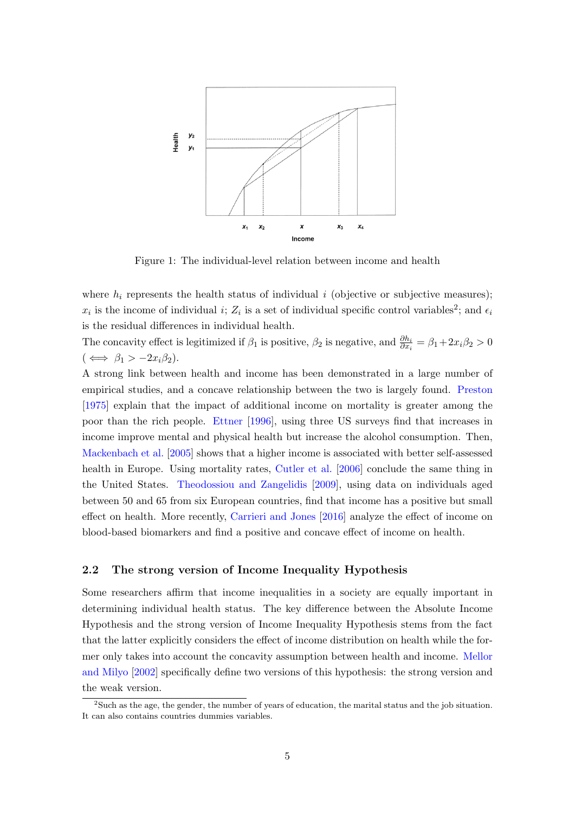<span id="page-5-0"></span>

Figure 1: The individual-level relation between income and health

where  $h_i$  represents the health status of individual i (objective or subjective measures);  $x_i$  is the income of individual i;  $Z_i$  is a set of individual specific control variables<sup>[2](#page-1-0)</sup>; and  $\epsilon_i$ is the residual differences in individual health.

The concavity effect is legitimized if  $\beta_1$  is positive,  $\beta_2$  is negative, and  $\frac{\partial h_i}{\partial x_i} = \beta_1 + 2x_i\beta_2 > 0$  $(\iff \beta_1 > -2x_i\beta_2).$ 

A strong link between health and income has been demonstrated in a large number of empirical studies, and a concave relationship between the two is largely found. [Preston](#page-25-2) [\[1975\]](#page-25-2) explain that the impact of additional income on mortality is greater among the poor than the rich people. [Ettner](#page-23-2) [\[1996\]](#page-23-2), using three US surveys find that increases in income improve mental and physical health but increase the alcohol consumption. Then, [Mackenbach et al.](#page-24-0) [\[2005\]](#page-24-0) shows that a higher income is associated with better self-assessed health in Europe. Using mortality rates, [Cutler et al.](#page-23-1) [\[2006\]](#page-23-1) conclude the same thing in the United States. [Theodossiou and Zangelidis](#page-25-3) [\[2009\]](#page-25-3), using data on individuals aged between 50 and 65 from six European countries, find that income has a positive but small effect on health. More recently, [Carrieri and Jones](#page-23-3) [\[2016\]](#page-23-3) analyze the effect of income on blood-based biomarkers and find a positive and concave effect of income on health.

#### 2.2 The strong version of Income Inequality Hypothesis

Some researchers affirm that income inequalities in a society are equally important in determining individual health status. The key difference between the Absolute Income Hypothesis and the strong version of Income Inequality Hypothesis stems from the fact that the latter explicitly considers the effect of income distribution on health while the former only takes into account the concavity assumption between health and income. [Mellor](#page-24-2) [and Milyo](#page-24-2) [\[2002\]](#page-24-2) specifically define two versions of this hypothesis: the strong version and the weak version.

<sup>2</sup>Such as the age, the gender, the number of years of education, the marital status and the job situation. It can also contains countries dummies variables.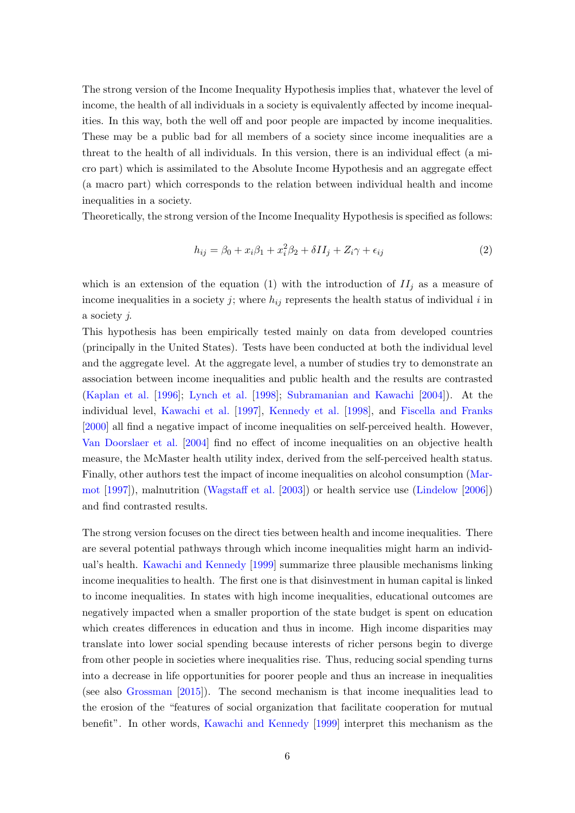The strong version of the Income Inequality Hypothesis implies that, whatever the level of income, the health of all individuals in a society is equivalently affected by income inequalities. In this way, both the well off and poor people are impacted by income inequalities. These may be a public bad for all members of a society since income inequalities are a threat to the health of all individuals. In this version, there is an individual effect (a micro part) which is assimilated to the Absolute Income Hypothesis and an aggregate effect (a macro part) which corresponds to the relation between individual health and income inequalities in a society.

Theoretically, the strong version of the Income Inequality Hypothesis is specified as follows:

<span id="page-6-0"></span>
$$
h_{ij} = \beta_0 + x_i \beta_1 + x_i^2 \beta_2 + \delta II_j + Z_i \gamma + \epsilon_{ij}
$$
\n<sup>(2)</sup>

which is an extension of the equation [\(1\)](#page-4-0) with the introduction of  $II_j$  as a measure of income inequalities in a society j; where  $h_{ij}$  represents the health status of individual i in a society j.

This hypothesis has been empirically tested mainly on data from developed countries (principally in the United States). Tests have been conducted at both the individual level and the aggregate level. At the aggregate level, a number of studies try to demonstrate an association between income inequalities and public health and the results are contrasted [\(Kaplan et al.](#page-24-6) [\[1996\]](#page-24-6); [Lynch et al.](#page-24-7) [\[1998\]](#page-24-7); [Subramanian and Kawachi](#page-25-6) [\[2004\]](#page-25-6)). At the individual level, [Kawachi et al.](#page-24-8) [\[1997\]](#page-24-8), [Kennedy et al.](#page-24-1) [\[1998\]](#page-24-1), and [Fiscella and Franks](#page-23-4) [\[2000\]](#page-23-4) all find a negative impact of income inequalities on self-perceived health. However, [Van Doorslaer et al.](#page-25-5) [\[2004\]](#page-25-5) find no effect of income inequalities on an objective health measure, the McMaster health utility index, derived from the self-perceived health status. Finally, other authors test the impact of income inequalities on alcohol consumption [\(Mar](#page-24-9)[mot](#page-24-9) [\[1997\]](#page-24-9)), malnutrition [\(Wagstaff et al.](#page-25-4) [\[2003\]](#page-25-4)) or health service use [\(Lindelow](#page-24-10) [\[2006\]](#page-24-10)) and find contrasted results.

The strong version focuses on the direct ties between health and income inequalities. There are several potential pathways through which income inequalities might harm an individual's health. [Kawachi and Kennedy](#page-24-11) [\[1999\]](#page-24-11) summarize three plausible mechanisms linking income inequalities to health. The first one is that disinvestment in human capital is linked to income inequalities. In states with high income inequalities, educational outcomes are negatively impacted when a smaller proportion of the state budget is spent on education which creates differences in education and thus in income. High income disparities may translate into lower social spending because interests of richer persons begin to diverge from other people in societies where inequalities rise. Thus, reducing social spending turns into a decrease in life opportunities for poorer people and thus an increase in inequalities (see also [Grossman](#page-23-6) [\[2015\]](#page-23-6)). The second mechanism is that income inequalities lead to the erosion of the "features of social organization that facilitate cooperation for mutual benefit". In other words, [Kawachi and Kennedy](#page-24-11) [\[1999\]](#page-24-11) interpret this mechanism as the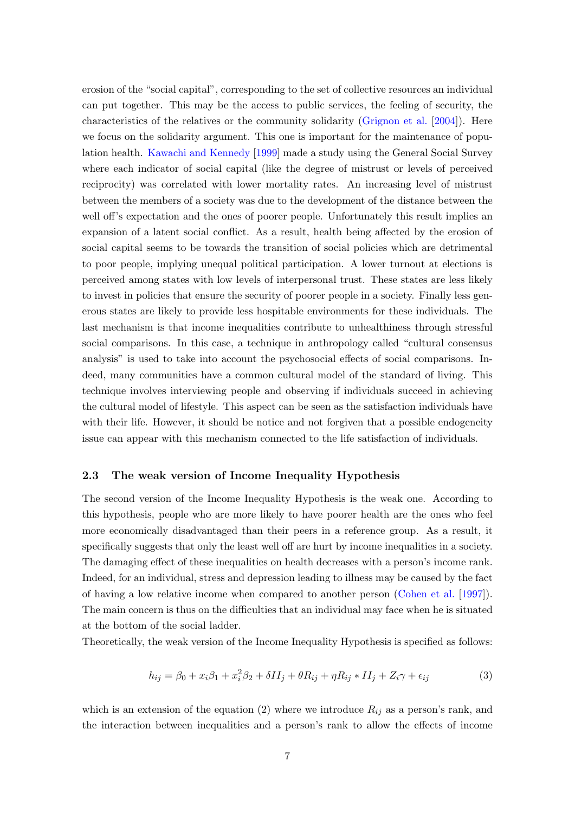erosion of the "social capital", corresponding to the set of collective resources an individual can put together. This may be the access to public services, the feeling of security, the characteristics of the relatives or the community solidarity [\(Grignon et al.](#page-23-7) [\[2004\]](#page-23-7)). Here we focus on the solidarity argument. This one is important for the maintenance of population health. [Kawachi and Kennedy](#page-24-11) [\[1999\]](#page-24-11) made a study using the General Social Survey where each indicator of social capital (like the degree of mistrust or levels of perceived reciprocity) was correlated with lower mortality rates. An increasing level of mistrust between the members of a society was due to the development of the distance between the well off's expectation and the ones of poorer people. Unfortunately this result implies an expansion of a latent social conflict. As a result, health being affected by the erosion of social capital seems to be towards the transition of social policies which are detrimental to poor people, implying unequal political participation. A lower turnout at elections is perceived among states with low levels of interpersonal trust. These states are less likely to invest in policies that ensure the security of poorer people in a society. Finally less generous states are likely to provide less hospitable environments for these individuals. The last mechanism is that income inequalities contribute to unhealthiness through stressful social comparisons. In this case, a technique in anthropology called "cultural consensus analysis" is used to take into account the psychosocial effects of social comparisons. Indeed, many communities have a common cultural model of the standard of living. This technique involves interviewing people and observing if individuals succeed in achieving the cultural model of lifestyle. This aspect can be seen as the satisfaction individuals have with their life. However, it should be notice and not forgiven that a possible endogeneity issue can appear with this mechanism connected to the life satisfaction of individuals.

#### 2.3 The weak version of Income Inequality Hypothesis

The second version of the Income Inequality Hypothesis is the weak one. According to this hypothesis, people who are more likely to have poorer health are the ones who feel more economically disadvantaged than their peers in a reference group. As a result, it specifically suggests that only the least well off are hurt by income inequalities in a society. The damaging effect of these inequalities on health decreases with a person's income rank. Indeed, for an individual, stress and depression leading to illness may be caused by the fact of having a low relative income when compared to another person [\(Cohen et al.](#page-23-8) [\[1997\]](#page-23-8)). The main concern is thus on the difficulties that an individual may face when he is situated at the bottom of the social ladder.

Theoretically, the weak version of the Income Inequality Hypothesis is specified as follows:

$$
h_{ij} = \beta_0 + x_i \beta_1 + x_i^2 \beta_2 + \delta II_j + \theta R_{ij} + \eta R_{ij} * II_j + Z_i \gamma + \epsilon_{ij}
$$
\n(3)

which is an extension of the equation [\(2\)](#page-6-0) where we introduce  $R_{ij}$  as a person's rank, and the interaction between inequalities and a person's rank to allow the effects of income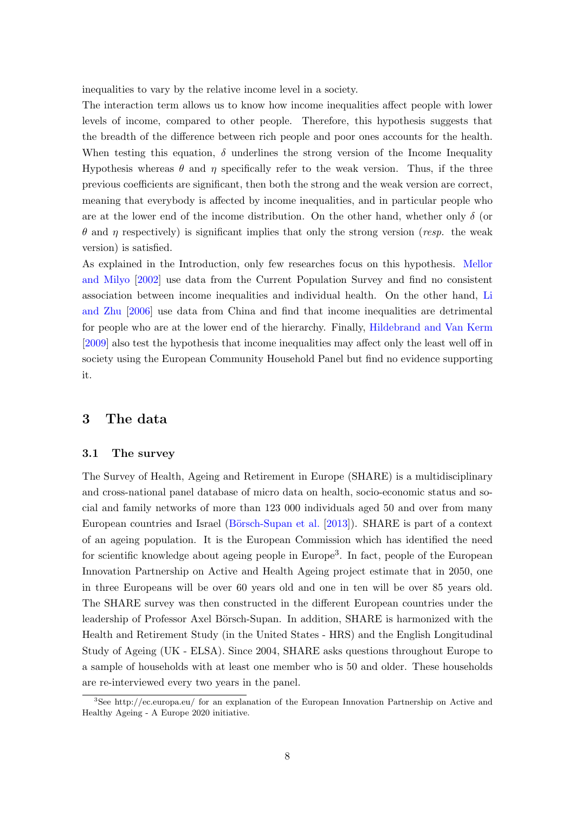inequalities to vary by the relative income level in a society.

The interaction term allows us to know how income inequalities affect people with lower levels of income, compared to other people. Therefore, this hypothesis suggests that the breadth of the difference between rich people and poor ones accounts for the health. When testing this equation,  $\delta$  underlines the strong version of the Income Inequality Hypothesis whereas  $\theta$  and  $\eta$  specifically refer to the weak version. Thus, if the three previous coefficients are significant, then both the strong and the weak version are correct, meaning that everybody is affected by income inequalities, and in particular people who are at the lower end of the income distribution. On the other hand, whether only  $\delta$  (or  $θ$  and η respectively) is significant implies that only the strong version (resp. the weak version) is satisfied.

As explained in the Introduction, only few researches focus on this hypothesis. [Mellor](#page-24-2) [and Milyo](#page-24-2) [\[2002\]](#page-24-2) use data from the Current Population Survey and find no consistent association between income inequalities and individual health. On the other hand, [Li](#page-24-3) [and Zhu](#page-24-3) [\[2006\]](#page-24-3) use data from China and find that income inequalities are detrimental for people who are at the lower end of the hierarchy. Finally, [Hildebrand and Van Kerm](#page-24-4) [\[2009\]](#page-24-4) also test the hypothesis that income inequalities may affect only the least well off in society using the European Community Household Panel but find no evidence supporting it.

## 3 The data

#### 3.1 The survey

The Survey of Health, Ageing and Retirement in Europe (SHARE) is a multidisciplinary and cross-national panel database of micro data on health, socio-economic status and social and family networks of more than 123 000 individuals aged 50 and over from many European countries and Israel (Börsch-Supan et al. [\[2013\]](#page-23-0)). SHARE is part of a context of an ageing population. It is the European Commission which has identified the need for scientific knowledge about ageing people in Europe[3](#page-1-0) . In fact, people of the European Innovation Partnership on Active and Health Ageing project estimate that in 2050, one in three Europeans will be over 60 years old and one in ten will be over 85 years old. The SHARE survey was then constructed in the different European countries under the leadership of Professor Axel Börsch-Supan. In addition, SHARE is harmonized with the Health and Retirement Study (in the United States - HRS) and the English Longitudinal Study of Ageing (UK - ELSA). Since 2004, SHARE asks questions throughout Europe to a sample of households with at least one member who is 50 and older. These households are re-interviewed every two years in the panel.

<sup>3</sup>See http://ec.europa.eu/ for an explanation of the European Innovation Partnership on Active and Healthy Ageing - A Europe 2020 initiative.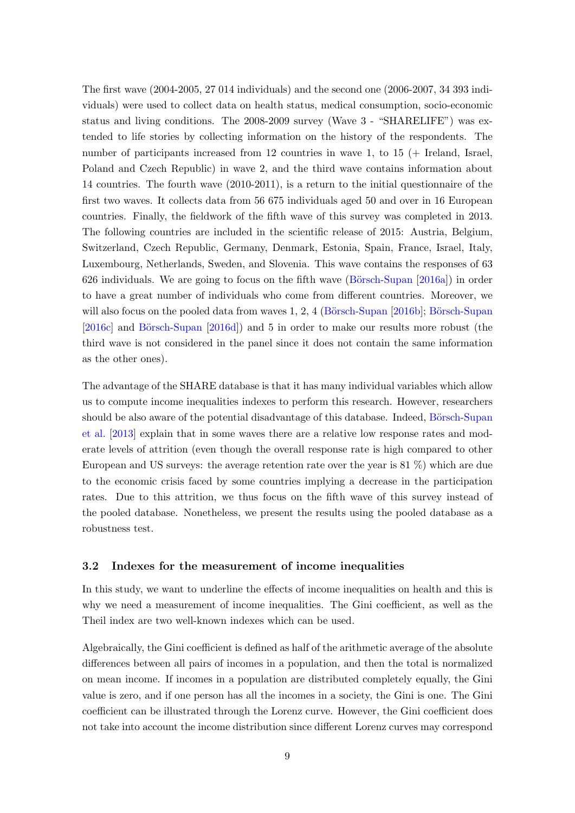The first wave (2004-2005, 27 014 individuals) and the second one (2006-2007, 34 393 individuals) were used to collect data on health status, medical consumption, socio-economic status and living conditions. The 2008-2009 survey (Wave 3 - "SHARELIFE") was extended to life stories by collecting information on the history of the respondents. The number of participants increased from 12 countries in wave 1, to 15 (+ Ireland, Israel, Poland and Czech Republic) in wave 2, and the third wave contains information about 14 countries. The fourth wave (2010-2011), is a return to the initial questionnaire of the first two waves. It collects data from 56 675 individuals aged 50 and over in 16 European countries. Finally, the fieldwork of the fifth wave of this survey was completed in 2013. The following countries are included in the scientific release of 2015: Austria, Belgium, Switzerland, Czech Republic, Germany, Denmark, Estonia, Spain, France, Israel, Italy, Luxembourg, Netherlands, Sweden, and Slovenia. This wave contains the responses of 63 626 individuals. We are going to focus on the fifth wave  $(B\ddot{o}rsch-Supan [2016a])$  $(B\ddot{o}rsch-Supan [2016a])$  $(B\ddot{o}rsch-Supan [2016a])$  in order to have a great number of individuals who come from different countries. Moreover, we will also focus on the pooled data from waves  $1, 2, 4$  (Börsch-Supan [\[2016b\]](#page-23-10); Börsch-Supan  $[2016c]$  and Börsch-Supan  $[2016d]$ ) and 5 in order to make our results more robust (the third wave is not considered in the panel since it does not contain the same information as the other ones).

The advantage of the SHARE database is that it has many individual variables which allow us to compute income inequalities indexes to perform this research. However, researchers should be also aware of the potential disadvantage of this database. Indeed, Börsch-Supan [et al.](#page-23-0) [\[2013\]](#page-23-0) explain that in some waves there are a relative low response rates and moderate levels of attrition (even though the overall response rate is high compared to other European and US surveys: the average retention rate over the year is 81 %) which are due to the economic crisis faced by some countries implying a decrease in the participation rates. Due to this attrition, we thus focus on the fifth wave of this survey instead of the pooled database. Nonetheless, we present the results using the pooled database as a robustness test.

#### 3.2 Indexes for the measurement of income inequalities

In this study, we want to underline the effects of income inequalities on health and this is why we need a measurement of income inequalities. The Gini coefficient, as well as the Theil index are two well-known indexes which can be used.

Algebraically, the Gini coefficient is defined as half of the arithmetic average of the absolute differences between all pairs of incomes in a population, and then the total is normalized on mean income. If incomes in a population are distributed completely equally, the Gini value is zero, and if one person has all the incomes in a society, the Gini is one. The Gini coefficient can be illustrated through the Lorenz curve. However, the Gini coefficient does not take into account the income distribution since different Lorenz curves may correspond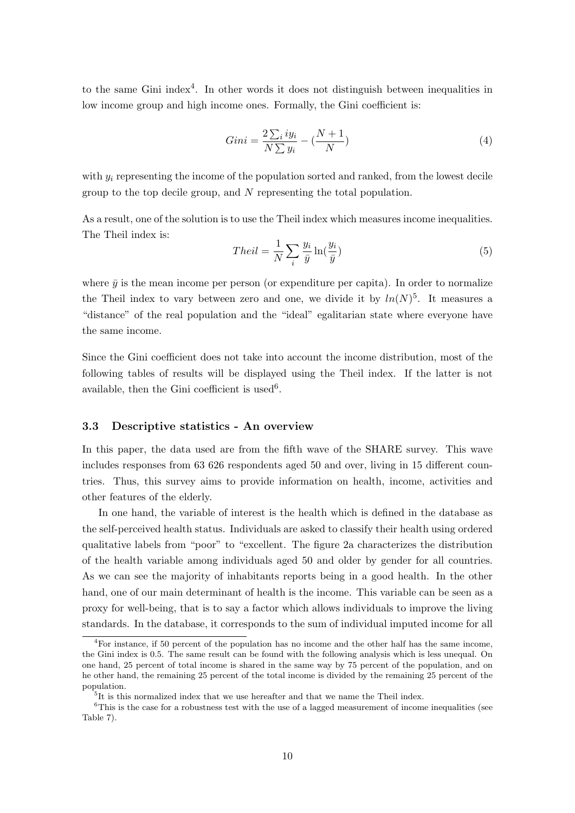to the same Gini index<sup>[4](#page-1-0)</sup>. In other words it does not distinguish between inequalities in low income group and high income ones. Formally, the Gini coefficient is:

$$
Gini = \frac{2\sum_{i} iy_i}{N\sum y_i} - (\frac{N+1}{N})
$$
\n(4)

with  $y_i$  representing the income of the population sorted and ranked, from the lowest decile group to the top decile group, and  $N$  representing the total population.

As a result, one of the solution is to use the Theil index which measures income inequalities. The Theil index is:

$$
Theil = \frac{1}{N} \sum_{i} \frac{y_i}{\bar{y}} \ln(\frac{y_i}{\bar{y}})
$$
\n
$$
\tag{5}
$$

where  $\bar{y}$  is the mean income per person (or expenditure per capita). In order to normalize the Theil index to vary between zero and one, we divide it by  $ln(N)^5$  $ln(N)^5$ . It measures a "distance" of the real population and the "ideal" egalitarian state where everyone have the same income.

Since the Gini coefficient does not take into account the income distribution, most of the following tables of results will be displayed using the Theil index. If the latter is not available, then the Gini coefficient is used<sup>[6](#page-1-0)</sup>.

#### 3.3 Descriptive statistics - An overview

In this paper, the data used are from the fifth wave of the SHARE survey. This wave includes responses from 63 626 respondents aged 50 and over, living in 15 different countries. Thus, this survey aims to provide information on health, income, activities and other features of the elderly.

In one hand, the variable of interest is the health which is defined in the database as the self-perceived health status. Individuals are asked to classify their health using ordered qualitative labels from "poor" to "excellent. The figure [2a](#page-11-0) characterizes the distribution of the health variable among individuals aged 50 and older by gender for all countries. As we can see the majority of inhabitants reports being in a good health. In the other hand, one of our main determinant of health is the income. This variable can be seen as a proxy for well-being, that is to say a factor which allows individuals to improve the living standards. In the database, it corresponds to the sum of individual imputed income for all

<sup>4</sup>For instance, if 50 percent of the population has no income and the other half has the same income, the Gini index is 0.5. The same result can be found with the following analysis which is less unequal. On one hand, 25 percent of total income is shared in the same way by 75 percent of the population, and on he other hand, the remaining 25 percent of the total income is divided by the remaining 25 percent of the population.

<sup>&</sup>lt;sup>5</sup>It is this normalized index that we use hereafter and that we name the Theil index.

 $6$ This is the case for a robustness test with the use of a lagged measurement of income inequalities (see Table [7\)](#page-28-0).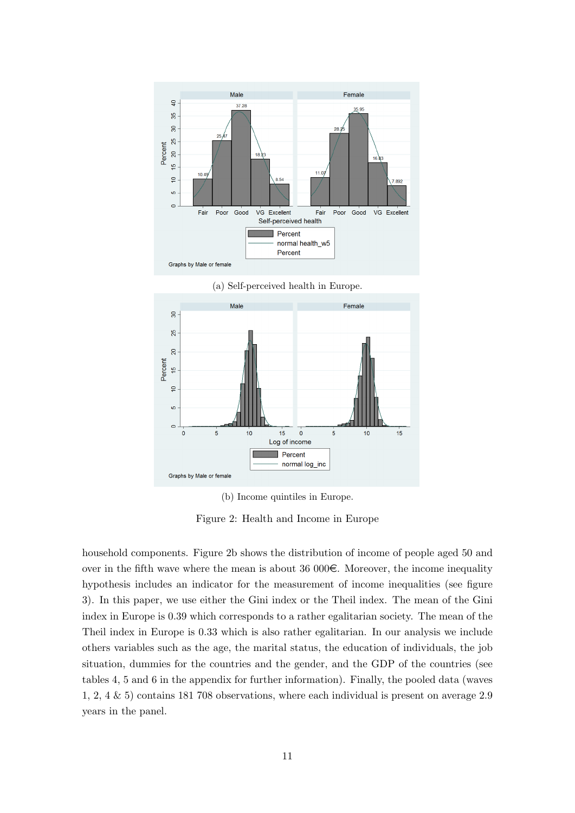<span id="page-11-0"></span>

(a) Self-perceived health in Europe.



(b) Income quintiles in Europe.

Figure 2: Health and Income in Europe

household components. Figure [2b](#page-11-0) shows the distribution of income of people aged 50 and over in the fifth wave where the mean is about 36 000 $\epsilon$ . Moreover, the income inequality hypothesis includes an indicator for the measurement of income inequalities (see figure [3\)](#page-12-0). In this paper, we use either the Gini index or the Theil index. The mean of the Gini index in Europe is 0.39 which corresponds to a rather egalitarian society. The mean of the Theil index in Europe is 0.33 which is also rather egalitarian. In our analysis we include others variables such as the age, the marital status, the education of individuals, the job situation, dummies for the countries and the gender, and the GDP of the countries (see tables [4,](#page-26-0) [5](#page-26-1) and [6](#page-27-0) in the appendix for further information). Finally, the pooled data (waves 1, 2, 4 & 5) contains 181 708 observations, where each individual is present on average 2.9 years in the panel.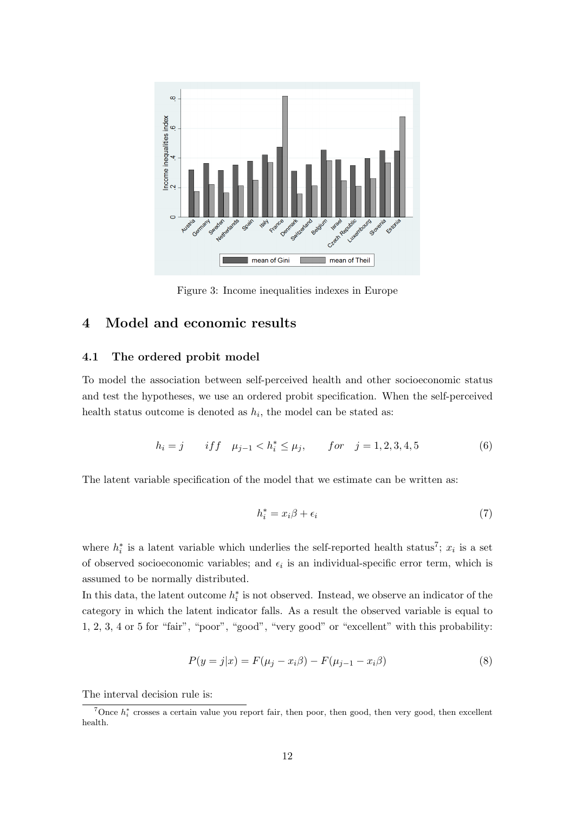<span id="page-12-0"></span>

Figure 3: Income inequalities indexes in Europe

# 4 Model and economic results

#### 4.1 The ordered probit model

To model the association between self-perceived health and other socioeconomic status and test the hypotheses, we use an ordered probit specification. When the self-perceived health status outcome is denoted as  $h_i$ , the model can be stated as:

$$
h_i = j \qquad if f \quad \mu_{j-1} < h_i^* \le \mu_j, \qquad for \quad j = 1, 2, 3, 4, 5 \tag{6}
$$

The latent variable specification of the model that we estimate can be written as:

$$
h_i^* = x_i \beta + \epsilon_i \tag{7}
$$

where  $h_i^*$  is a latent variable which underlies the self-reported health status<sup>[7](#page-1-0)</sup>;  $x_i$  is a set of observed socioeconomic variables; and  $\epsilon_i$  is an individual-specific error term, which is assumed to be normally distributed.

In this data, the latent outcome  $h_i^*$  is not observed. Instead, we observe an indicator of the category in which the latent indicator falls. As a result the observed variable is equal to 1, 2, 3, 4 or 5 for "fair", "poor", "good", "very good" or "excellent" with this probability:

<span id="page-12-1"></span>
$$
P(y = j|x) = F(\mu_j - x_i \beta) - F(\mu_{j-1} - x_i \beta)
$$
\n(8)

The interval decision rule is:

<sup>&</sup>lt;sup>7</sup>Once  $h_i^*$  crosses a certain value you report fair, then poor, then good, then very good, then excellent health.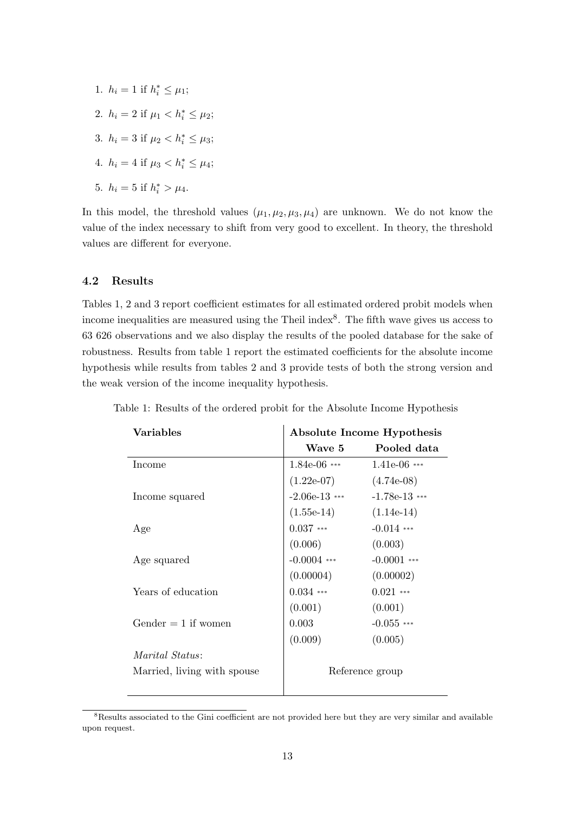1.  $h_i = 1$  if  $h_i^* \leq \mu_1$ ; 2.  $h_i = 2$  if  $\mu_1 < h_i^* \leq \mu_2$ ; 3.  $h_i = 3$  if  $\mu_2 < h_i^* \leq \mu_3$ ; 4.  $h_i = 4$  if  $\mu_3 < h_i^* \leq \mu_4$ ; 5.  $h_i = 5$  if  $h_i^* > \mu_4$ .

In this model, the threshold values  $(\mu_1, \mu_2, \mu_3, \mu_4)$  are unknown. We do not know the value of the index necessary to shift from very good to excellent. In theory, the threshold values are different for everyone.

#### 4.2 Results

Tables [1,](#page-13-0) [2](#page-15-0) and [3](#page-16-0) report coefficient estimates for all estimated ordered probit models when income inequalities are measured using the Theil index<sup>[8](#page-1-0)</sup>. The fifth wave gives us access to 63 626 observations and we also display the results of the pooled database for the sake of robustness. Results from table [1](#page-13-0) report the estimated coefficients for the absolute income hypothesis while results from tables [2](#page-15-0) and [3](#page-16-0) provide tests of both the strong version and the weak version of the income inequality hypothesis.

| Variables                   | Absolute Income Hypothesis |                 |  |
|-----------------------------|----------------------------|-----------------|--|
|                             | Wave 5                     | Pooled data     |  |
| Income                      | $1.84e-06$ ***             | $1.41e-06$ ***  |  |
|                             | $(1.22e-07)$               | $(4.74e-08)$    |  |
| Income squared              | $-2.06e-13$ ***            | $-1.78e-13$ *** |  |
|                             | $(1.55e-14)$               | $(1.14e-14)$    |  |
| Age                         | $0.037***$                 | $-0.014$ ***    |  |
|                             | (0.006)                    | (0.003)         |  |
| Age squared                 | $-0.0004$ ***              | $-0.0001$ ***   |  |
|                             | (0.00004)                  | (0.00002)       |  |
| Years of education          | $0.034$ ***                | $0.021$ ***     |  |
|                             | (0.001)                    | (0.001)         |  |
| Gender $= 1$ if women       | 0.003                      | $-0.055$ ***    |  |
|                             | (0.009)                    | (0.005)         |  |
| Marital Status:             |                            |                 |  |
| Married, living with spouse | Reference group            |                 |  |
|                             |                            |                 |  |

<span id="page-13-0"></span>Table 1: Results of the ordered probit for the Absolute Income Hypothesis  $\mathbf{I}$ 

<sup>8</sup>Results associated to the Gini coefficient are not provided here but they are very similar and available upon request.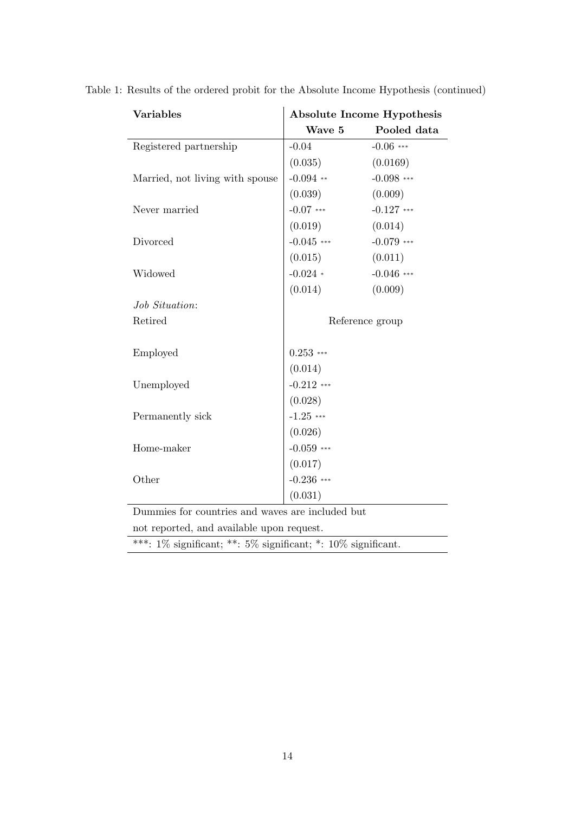| <b>Variables</b>                                                      | Absolute Income Hypothesis |                 |  |
|-----------------------------------------------------------------------|----------------------------|-----------------|--|
|                                                                       | Wave 5                     | Pooled data     |  |
| Registered partnership                                                | $-0.04$                    | $-0.06$ ***     |  |
|                                                                       | (0.035)                    | (0.0169)        |  |
| Married, not living with spouse                                       | $-0.094$ **                | $-0.098$ ***    |  |
|                                                                       | (0.039)                    | (0.009)         |  |
| Never married                                                         | $-0.07$ ***                | $-0.127$ ***    |  |
|                                                                       | (0.019)                    | (0.014)         |  |
| Divorced                                                              | $-0.045$ ***               | $-0.079$ ***    |  |
|                                                                       | (0.015)                    | (0.011)         |  |
| Widowed                                                               | $-0.024$ *                 | $-0.046$ ***    |  |
|                                                                       | (0.014)                    | (0.009)         |  |
| Job Situation:                                                        |                            |                 |  |
| Retired                                                               |                            | Reference group |  |
|                                                                       |                            |                 |  |
| Employed                                                              | $0.253$ ***                |                 |  |
|                                                                       | (0.014)                    |                 |  |
| Unemployed                                                            | $-0.212$ ***               |                 |  |
|                                                                       | (0.028)                    |                 |  |
| Permanently sick                                                      | $-1.25$ ***                |                 |  |
|                                                                       | (0.026)                    |                 |  |
| Home-maker                                                            | $-0.059$ ***               |                 |  |
|                                                                       | (0.017)                    |                 |  |
| Other                                                                 | $-0.236$ ***               |                 |  |
|                                                                       | (0.031)                    |                 |  |
| Dummies for countries and waves are included but                      |                            |                 |  |
| not reported, and available upon request.                             |                            |                 |  |
| ***: $1\%$ significant; **: $5\%$ significant; *: $10\%$ significant. |                            |                 |  |

Table 1: Results of the ordered probit for the Absolute Income Hypothesis (continued)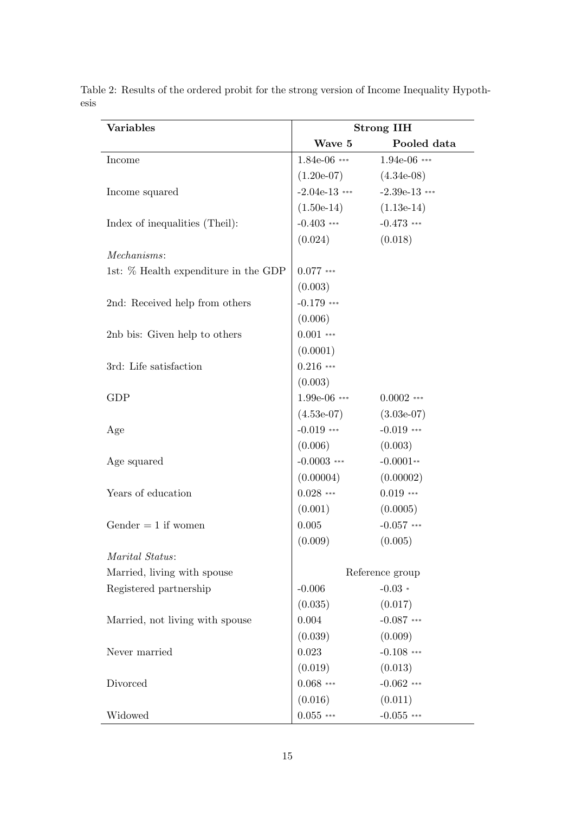| <b>Variables</b>                     | <b>Strong IIH</b> |                 |  |
|--------------------------------------|-------------------|-----------------|--|
|                                      | Wave 5            | Pooled data     |  |
| Income                               | $1.84e-06$ ***    | $1.94e-06$ ***  |  |
|                                      | $(1.20e-07)$      | $(4.34e-08)$    |  |
| Income squared                       | $-2.04e-13$ ***   | $-2.39e-13$ *** |  |
|                                      | $(1.50e-14)$      | $(1.13e-14)$    |  |
| Index of inequalities (Theil):       | $-0.403$ ***      | $-0.473$ ***    |  |
|                                      | (0.024)           | (0.018)         |  |
| Mechanisms:                          |                   |                 |  |
| 1st: % Health expenditure in the GDP | $0.077$ ***       |                 |  |
|                                      | (0.003)           |                 |  |
| 2nd: Received help from others       | $-0.179$ ***      |                 |  |
|                                      | (0.006)           |                 |  |
| 2nb bis: Given help to others        | $0.001$ ***       |                 |  |
|                                      | (0.0001)          |                 |  |
| 3rd: Life satisfaction               | $0.216$ ***       |                 |  |
|                                      | (0.003)           |                 |  |
| <b>GDP</b>                           | $1.99e-06$ ***    | $0.0002$ ***    |  |
|                                      | $(4.53e-07)$      | $(3.03e-07)$    |  |
| Age                                  | $-0.019$ ***      | $-0.019$ ***    |  |
|                                      | (0.006)           | (0.003)         |  |
| Age squared                          | $-0.0003$ ***     | $-0.0001**$     |  |
|                                      | (0.00004)         | (0.00002)       |  |
| Years of education                   | $0.028$ ***       | $0.019$ ***     |  |
|                                      | (0.001)           | (0.0005)        |  |
| Gender $= 1$ if women                | 0.005             | $-0.057$ ***    |  |
|                                      | (0.009)           | (0.005)         |  |
| Marital Status:                      |                   |                 |  |
| Married, living with spouse          |                   | Reference group |  |
| Registered partnership               | $-0.006$          | $-0.03*$        |  |
|                                      | (0.035)           | (0.017)         |  |
| Married, not living with spouse      | 0.004             | $-0.087$ ***    |  |
|                                      | (0.039)           | (0.009)         |  |
| Never married                        | 0.023             | $-0.108$ ***    |  |
|                                      | (0.019)           | (0.013)         |  |
| Divorced                             | $0.068$ ***       | $-0.062$ ***    |  |
|                                      | (0.016)           | (0.011)         |  |
| Widowed                              | $0.055***$        | $-0.055$ ***    |  |

<span id="page-15-0"></span>Table 2: Results of the ordered probit for the strong version of Income Inequality Hypothesis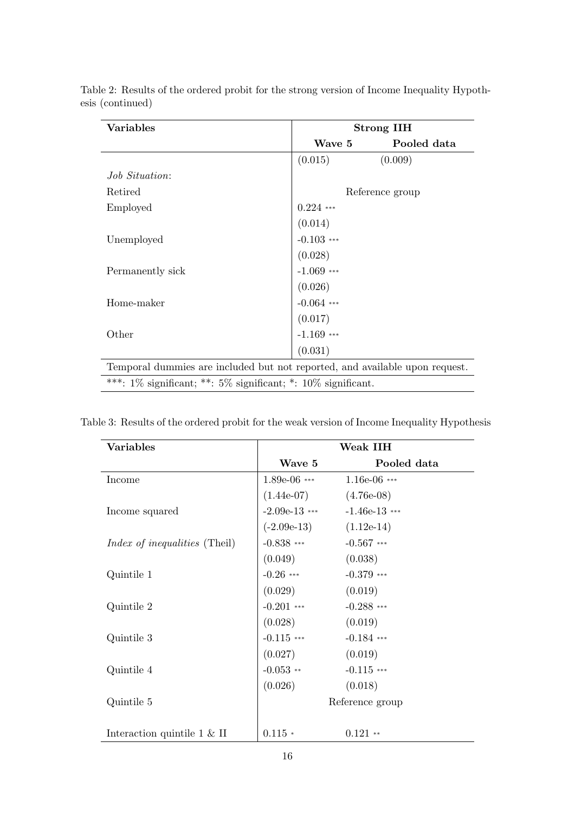| <b>Variables</b>                                                            | <b>Strong IIH</b> |                 |  |
|-----------------------------------------------------------------------------|-------------------|-----------------|--|
|                                                                             | Wave 5            | Pooled data     |  |
|                                                                             | (0.015)           | (0.009)         |  |
| <i>Job Situation:</i>                                                       |                   |                 |  |
| Retired                                                                     |                   | Reference group |  |
| Employed                                                                    | $0.224$ ***       |                 |  |
|                                                                             | (0.014)           |                 |  |
| Unemployed                                                                  | $-0.103$ ***      |                 |  |
|                                                                             | (0.028)           |                 |  |
| Permanently sick                                                            | $-1.069$ ***      |                 |  |
|                                                                             | (0.026)           |                 |  |
| Home-maker                                                                  | $-0.064$ ***      |                 |  |
|                                                                             | (0.017)           |                 |  |
| Other                                                                       | $-1.169$ ***      |                 |  |
|                                                                             | (0.031)           |                 |  |
| Temporal dummies are included but not reported, and available upon request. |                   |                 |  |
| ***: $1\%$ significant; **: $5\%$ significant; *: $10\%$ significant.       |                   |                 |  |

Table 2: Results of the ordered probit for the strong version of Income Inequality Hypothesis (continued)

| <b>Variables</b>                      | Weak IIH        |                 |  |
|---------------------------------------|-----------------|-----------------|--|
|                                       | Wave 5          | Pooled data     |  |
| Income                                | $1.89e-06$ ***  | $1.16e-06$ ***  |  |
|                                       | $(1.44e-07)$    | $(4.76e-08)$    |  |
| Income squared                        | $-2.09e-13$ *** | $-1.46e-13$ *** |  |
|                                       | $(-2.09e-13)$   | $(1.12e-14)$    |  |
| <i>Index of inequalities</i> (Theil)  | $-0.838$ ***    | $-0.567$ ***    |  |
|                                       | (0.049)         | (0.038)         |  |
| Quintile 1                            | $-0.26$ ***     | $-0.379$ ***    |  |
|                                       | (0.029)         | (0.019)         |  |
| Quintile 2                            | $-0.201$ ***    | $-0.288$ ***    |  |
|                                       | (0.028)         | (0.019)         |  |
| Quintile 3                            | $-0.115$ ***    | $-0.184$ ***    |  |
|                                       | (0.027)         | (0.019)         |  |
| Quintile 4                            | $-0.053$ **     | $-0.115$ ***    |  |
|                                       | (0.026)         | (0.018)         |  |
| Quintile 5                            | Reference group |                 |  |
|                                       |                 |                 |  |
| Interaction quintile $1 \& \text{II}$ | $0.115*$        | $0.121$ **      |  |

<span id="page-16-0"></span>Table 3: Results of the ordered probit for the weak version of Income Inequality Hypothesis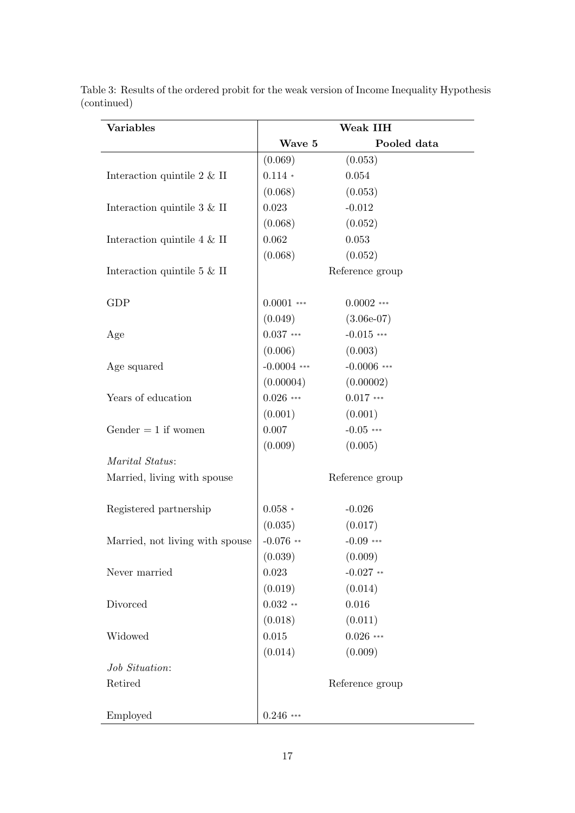| <b>Variables</b>                      | Weak IIH        |                 |
|---------------------------------------|-----------------|-----------------|
|                                       | Wave 5          | Pooled data     |
|                                       | (0.069)         | (0.053)         |
| Interaction quintile $2 \& \text{II}$ | $0.114 *$       | 0.054           |
|                                       | (0.068)         | (0.053)         |
| Interaction quintile $3 \& \text{II}$ | 0.023           | $-0.012$        |
|                                       | (0.068)         | (0.052)         |
| Interaction quintile $4 \& \text{II}$ | 0.062           | 0.053           |
|                                       | (0.068)         | (0.052)         |
| Interaction quintile $5 \& \text{II}$ |                 | Reference group |
| <b>GDP</b>                            | $0.0001$ ***    | $0.0002$ ***    |
|                                       | (0.049)         | $(3.06e-07)$    |
| Age                                   | $0.037***$      | $-0.015$ ***    |
|                                       | (0.006)         | (0.003)         |
| Age squared                           | $-0.0004$ ***   | $-0.0006$ ***   |
|                                       | (0.00004)       | (0.00002)       |
| Years of education                    | $0.026$ ***     | $0.017$ ***     |
|                                       | (0.001)         | (0.001)         |
| Gender $= 1$ if women                 | 0.007           | $-0.05$ ***     |
|                                       | (0.009)         | (0.005)         |
| Marital Status:                       |                 |                 |
| Married, living with spouse           | Reference group |                 |
| Registered partnership                | $0.058\,$ *     | $-0.026$        |
|                                       | (0.035)         | (0.017)         |
| Married, not living with spouse       | $-0.076$ **     | $-0.09$ ***     |
|                                       | (0.039)         | (0.009)         |
| Never married                         | 0.023           | $-0.027$ **     |
|                                       | (0.019)         | (0.014)         |
| Divorced                              | $0.032**$       | 0.016           |
|                                       | (0.018)         | (0.011)         |
| Widowed                               | $\,0.015\,$     | $0.026$ ***     |
|                                       | (0.014)         | (0.009)         |
| Job Situation:                        |                 |                 |
| Retired                               |                 | Reference group |
| Employed                              | $0.246$ ***     |                 |

Table 3: Results of the ordered probit for the weak version of Income Inequality Hypothesis (continued)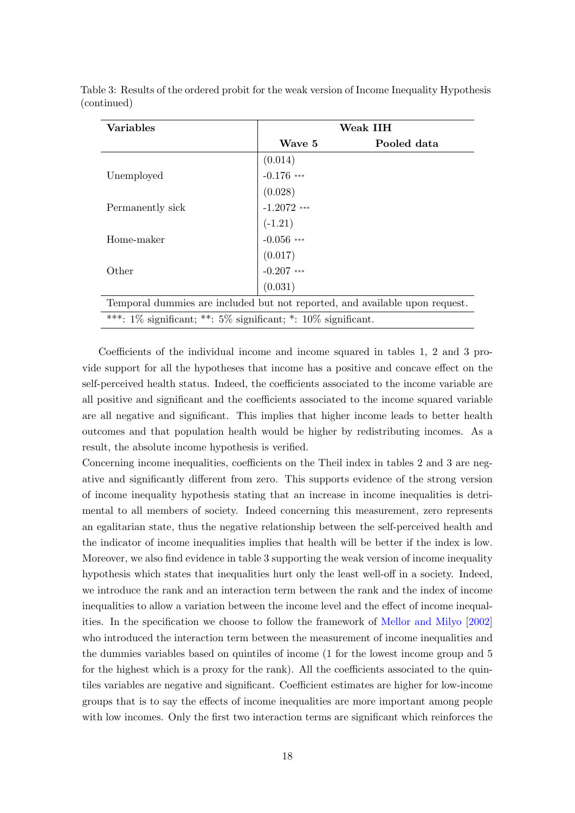| <b>Variables</b>                                                            | Weak IIH                |             |  |
|-----------------------------------------------------------------------------|-------------------------|-------------|--|
|                                                                             | Wave 5                  | Pooled data |  |
|                                                                             | (0.014)                 |             |  |
| Unemployed                                                                  | $-0.176$ ***            |             |  |
|                                                                             | (0.028)                 |             |  |
| Permanently sick                                                            | $-1.2072$ ***           |             |  |
|                                                                             | $(-1.21)$<br>-0.056 *** |             |  |
| Home-maker                                                                  |                         |             |  |
|                                                                             | $(0.017)$<br>-0.207 *** |             |  |
| Other                                                                       |                         |             |  |
|                                                                             | (0.031)                 |             |  |
| Temporal dummies are included but not reported, and available upon request. |                         |             |  |
| ***: $1\%$ significant; **: $5\%$ significant; *: $10\%$ significant.       |                         |             |  |

Table 3: Results of the ordered probit for the weak version of Income Inequality Hypothesis (continued)

Coefficients of the individual income and income squared in tables [1,](#page-13-0) [2](#page-15-0) and [3](#page-16-0) provide support for all the hypotheses that income has a positive and concave effect on the self-perceived health status. Indeed, the coefficients associated to the income variable are all positive and significant and the coefficients associated to the income squared variable are all negative and significant. This implies that higher income leads to better health outcomes and that population health would be higher by redistributing incomes. As a result, the absolute income hypothesis is verified.

Concerning income inequalities, coefficients on the Theil index in tables [2](#page-15-0) and [3](#page-16-0) are negative and significantly different from zero. This supports evidence of the strong version of income inequality hypothesis stating that an increase in income inequalities is detrimental to all members of society. Indeed concerning this measurement, zero represents an egalitarian state, thus the negative relationship between the self-perceived health and the indicator of income inequalities implies that health will be better if the index is low. Moreover, we also find evidence in table [3](#page-16-0) supporting the weak version of income inequality hypothesis which states that inequalities hurt only the least well-off in a society. Indeed, we introduce the rank and an interaction term between the rank and the index of income inequalities to allow a variation between the income level and the effect of income inequalities. In the specification we choose to follow the framework of [Mellor and Milyo](#page-24-2) [\[2002\]](#page-24-2) who introduced the interaction term between the measurement of income inequalities and the dummies variables based on quintiles of income (1 for the lowest income group and 5 for the highest which is a proxy for the rank). All the coefficients associated to the quintiles variables are negative and significant. Coefficient estimates are higher for low-income groups that is to say the effects of income inequalities are more important among people with low incomes. Only the first two interaction terms are significant which reinforces the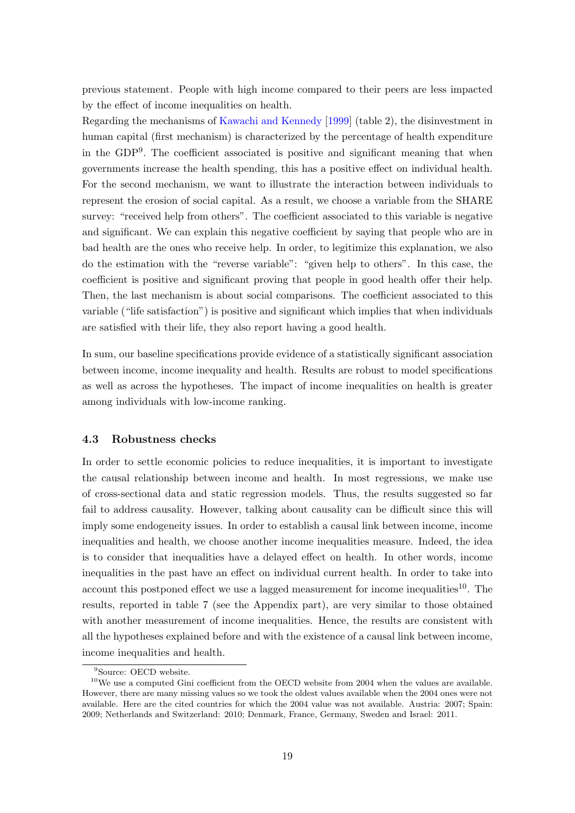previous statement. People with high income compared to their peers are less impacted by the effect of income inequalities on health.

Regarding the mechanisms of [Kawachi and Kennedy](#page-24-11) [\[1999\]](#page-24-11) (table [2\)](#page-15-0), the disinvestment in human capital (first mechanism) is characterized by the percentage of health expenditure in the GDP[9](#page-1-0) . The coefficient associated is positive and significant meaning that when governments increase the health spending, this has a positive effect on individual health. For the second mechanism, we want to illustrate the interaction between individuals to represent the erosion of social capital. As a result, we choose a variable from the SHARE survey: "received help from others". The coefficient associated to this variable is negative and significant. We can explain this negative coefficient by saying that people who are in bad health are the ones who receive help. In order, to legitimize this explanation, we also do the estimation with the "reverse variable": "given help to others". In this case, the coefficient is positive and significant proving that people in good health offer their help. Then, the last mechanism is about social comparisons. The coefficient associated to this variable ("life satisfaction") is positive and significant which implies that when individuals are satisfied with their life, they also report having a good health.

In sum, our baseline specifications provide evidence of a statistically significant association between income, income inequality and health. Results are robust to model specifications as well as across the hypotheses. The impact of income inequalities on health is greater among individuals with low-income ranking.

#### 4.3 Robustness checks

In order to settle economic policies to reduce inequalities, it is important to investigate the causal relationship between income and health. In most regressions, we make use of cross-sectional data and static regression models. Thus, the results suggested so far fail to address causality. However, talking about causality can be difficult since this will imply some endogeneity issues. In order to establish a causal link between income, income inequalities and health, we choose another income inequalities measure. Indeed, the idea is to consider that inequalities have a delayed effect on health. In other words, income inequalities in the past have an effect on individual current health. In order to take into account this postponed effect we use a lagged measurement for income inequalities<sup>[10](#page-1-0)</sup>. The results, reported in table [7](#page-28-0) (see the Appendix part), are very similar to those obtained with another measurement of income inequalities. Hence, the results are consistent with all the hypotheses explained before and with the existence of a causal link between income, income inequalities and health.

<sup>&</sup>lt;sup>9</sup>Source: OECD website.

 $10$ We use a computed Gini coefficient from the OECD website from 2004 when the values are available. However, there are many missing values so we took the oldest values available when the 2004 ones were not available. Here are the cited countries for which the 2004 value was not available. Austria: 2007; Spain: 2009; Netherlands and Switzerland: 2010; Denmark, France, Germany, Sweden and Israel: 2011.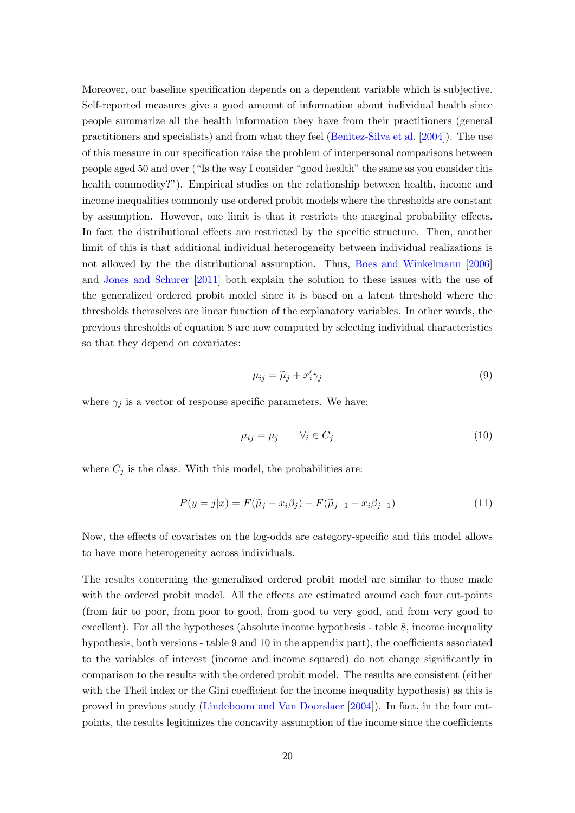Moreover, our baseline specification depends on a dependent variable which is subjective. Self-reported measures give a good amount of information about individual health since people summarize all the health information they have from their practitioners (general practitioners and specialists) and from what they feel [\(Benitez-Silva et al.](#page-23-5) [\[2004\]](#page-23-5)). The use of this measure in our specification raise the problem of interpersonal comparisons between people aged 50 and over ("Is the way I consider "good health" the same as you consider this health commodity?"). Empirical studies on the relationship between health, income and income inequalities commonly use ordered probit models where the thresholds are constant by assumption. However, one limit is that it restricts the marginal probability effects. In fact the distributional effects are restricted by the specific structure. Then, another limit of this is that additional individual heterogeneity between individual realizations is not allowed by the the distributional assumption. Thus, [Boes and Winkelmann](#page-23-13) [\[2006\]](#page-23-13) and [Jones and Schurer](#page-24-12) [\[2011\]](#page-24-12) both explain the solution to these issues with the use of the generalized ordered probit model since it is based on a latent threshold where the thresholds themselves are linear function of the explanatory variables. In other words, the previous thresholds of equation [8](#page-12-1) are now computed by selecting individual characteristics so that they depend on covariates:

$$
\mu_{ij} = \tilde{\mu}_j + x'_i \gamma_j \tag{9}
$$

where  $\gamma_i$  is a vector of response specific parameters. We have:

$$
\mu_{ij} = \mu_j \qquad \forall i \in C_j \tag{10}
$$

where  $C_i$  is the class. With this model, the probabilities are:

$$
P(y=j|x) = F(\widetilde{\mu}_j - x_i\beta_j) - F(\widetilde{\mu}_{j-1} - x_i\beta_{j-1})
$$
\n(11)

Now, the effects of covariates on the log-odds are category-specific and this model allows to have more heterogeneity across individuals.

The results concerning the generalized ordered probit model are similar to those made with the ordered probit model. All the effects are estimated around each four cut-points (from fair to poor, from poor to good, from good to very good, and from very good to excellent). For all the hypotheses (absolute income hypothesis - table [8,](#page-30-0) income inequality hypothesis, both versions - table [9](#page-31-0) and [10](#page-33-0) in the appendix part), the coefficients associated to the variables of interest (income and income squared) do not change significantly in comparison to the results with the ordered probit model. The results are consistent (either with the Theil index or the Gini coefficient for the income inequality hypothesis) as this is proved in previous study [\(Lindeboom and Van Doorslaer](#page-24-5) [\[2004\]](#page-24-5)). In fact, in the four cutpoints, the results legitimizes the concavity assumption of the income since the coefficients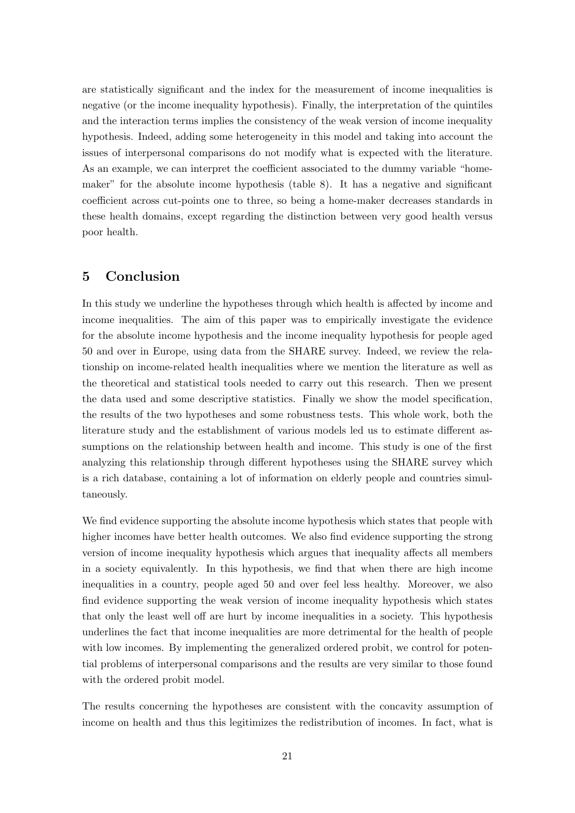are statistically significant and the index for the measurement of income inequalities is negative (or the income inequality hypothesis). Finally, the interpretation of the quintiles and the interaction terms implies the consistency of the weak version of income inequality hypothesis. Indeed, adding some heterogeneity in this model and taking into account the issues of interpersonal comparisons do not modify what is expected with the literature. As an example, we can interpret the coefficient associated to the dummy variable "homemaker" for the absolute income hypothesis (table [8\)](#page-30-0). It has a negative and significant coefficient across cut-points one to three, so being a home-maker decreases standards in these health domains, except regarding the distinction between very good health versus poor health.

## 5 Conclusion

In this study we underline the hypotheses through which health is affected by income and income inequalities. The aim of this paper was to empirically investigate the evidence for the absolute income hypothesis and the income inequality hypothesis for people aged 50 and over in Europe, using data from the SHARE survey. Indeed, we review the relationship on income-related health inequalities where we mention the literature as well as the theoretical and statistical tools needed to carry out this research. Then we present the data used and some descriptive statistics. Finally we show the model specification, the results of the two hypotheses and some robustness tests. This whole work, both the literature study and the establishment of various models led us to estimate different assumptions on the relationship between health and income. This study is one of the first analyzing this relationship through different hypotheses using the SHARE survey which is a rich database, containing a lot of information on elderly people and countries simultaneously.

We find evidence supporting the absolute income hypothesis which states that people with higher incomes have better health outcomes. We also find evidence supporting the strong version of income inequality hypothesis which argues that inequality affects all members in a society equivalently. In this hypothesis, we find that when there are high income inequalities in a country, people aged 50 and over feel less healthy. Moreover, we also find evidence supporting the weak version of income inequality hypothesis which states that only the least well off are hurt by income inequalities in a society. This hypothesis underlines the fact that income inequalities are more detrimental for the health of people with low incomes. By implementing the generalized ordered probit, we control for potential problems of interpersonal comparisons and the results are very similar to those found with the ordered probit model.

The results concerning the hypotheses are consistent with the concavity assumption of income on health and thus this legitimizes the redistribution of incomes. In fact, what is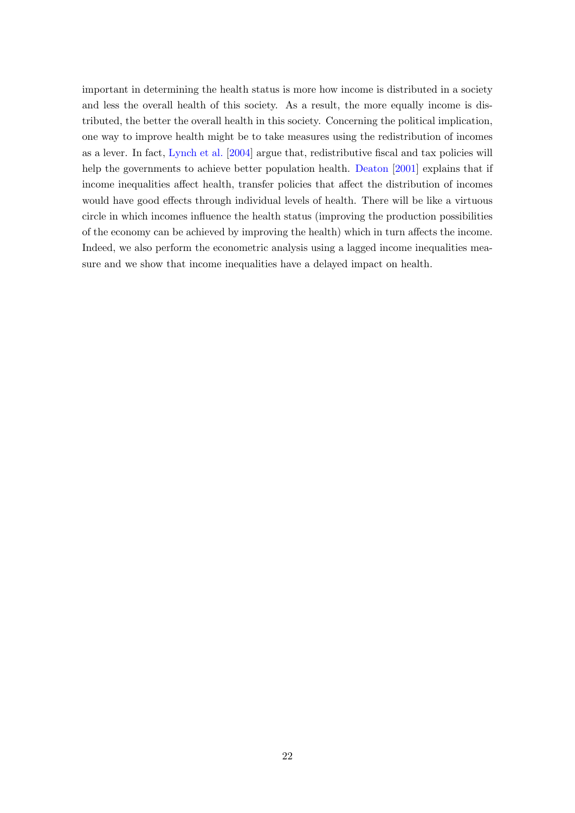important in determining the health status is more how income is distributed in a society and less the overall health of this society. As a result, the more equally income is distributed, the better the overall health in this society. Concerning the political implication, one way to improve health might be to take measures using the redistribution of incomes as a lever. In fact, [Lynch et al.](#page-24-13) [\[2004\]](#page-24-13) argue that, redistributive fiscal and tax policies will help the governments to achieve better population health. [Deaton](#page-23-14) [\[2001\]](#page-23-14) explains that if income inequalities affect health, transfer policies that affect the distribution of incomes would have good effects through individual levels of health. There will be like a virtuous circle in which incomes influence the health status (improving the production possibilities of the economy can be achieved by improving the health) which in turn affects the income. Indeed, we also perform the econometric analysis using a lagged income inequalities measure and we show that income inequalities have a delayed impact on health.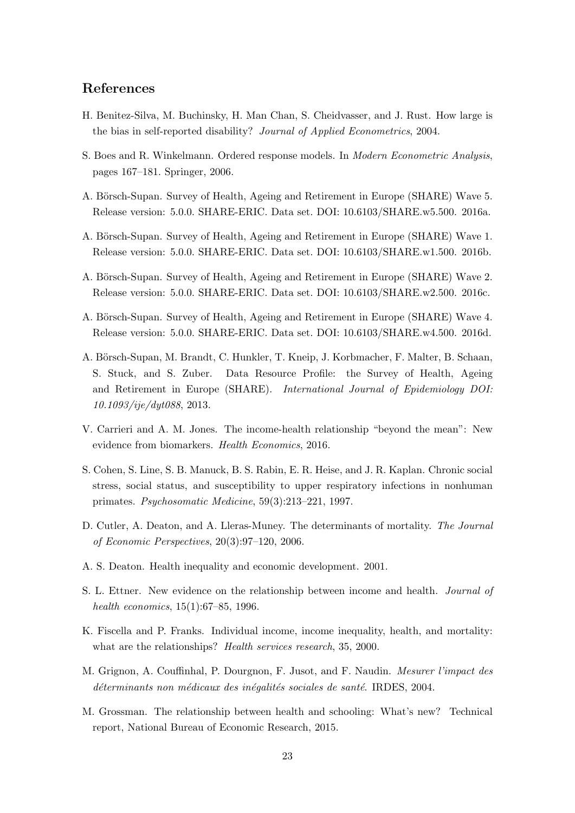## References

- <span id="page-23-5"></span>H. Benitez-Silva, M. Buchinsky, H. Man Chan, S. Cheidvasser, and J. Rust. How large is the bias in self-reported disability? Journal of Applied Econometrics, 2004.
- <span id="page-23-13"></span>S. Boes and R. Winkelmann. Ordered response models. In Modern Econometric Analysis, pages 167–181. Springer, 2006.
- <span id="page-23-9"></span>A. Börsch-Supan. Survey of Health, Ageing and Retirement in Europe (SHARE) Wave 5. Release version: 5.0.0. SHARE-ERIC. Data set. DOI: 10.6103/SHARE.w5.500. 2016a.
- <span id="page-23-10"></span>A. Börsch-Supan. Survey of Health, Ageing and Retirement in Europe (SHARE) Wave 1. Release version: 5.0.0. SHARE-ERIC. Data set. DOI: 10.6103/SHARE.w1.500. 2016b.
- <span id="page-23-11"></span>A. Börsch-Supan. Survey of Health, Ageing and Retirement in Europe (SHARE) Wave 2. Release version: 5.0.0. SHARE-ERIC. Data set. DOI: 10.6103/SHARE.w2.500. 2016c.
- <span id="page-23-12"></span>A. Börsch-Supan. Survey of Health, Ageing and Retirement in Europe (SHARE) Wave 4. Release version: 5.0.0. SHARE-ERIC. Data set. DOI: 10.6103/SHARE.w4.500. 2016d.
- <span id="page-23-0"></span>A. Börsch-Supan, M. Brandt, C. Hunkler, T. Kneip, J. Korbmacher, F. Malter, B. Schaan, S. Stuck, and S. Zuber. Data Resource Profile: the Survey of Health, Ageing and Retirement in Europe (SHARE). International Journal of Epidemiology DOI: 10.1093/ije/dyt088, 2013.
- <span id="page-23-3"></span>V. Carrieri and A. M. Jones. The income-health relationship "beyond the mean": New evidence from biomarkers. Health Economics, 2016.
- <span id="page-23-8"></span>S. Cohen, S. Line, S. B. Manuck, B. S. Rabin, E. R. Heise, and J. R. Kaplan. Chronic social stress, social status, and susceptibility to upper respiratory infections in nonhuman primates. Psychosomatic Medicine, 59(3):213–221, 1997.
- <span id="page-23-1"></span>D. Cutler, A. Deaton, and A. Lleras-Muney. The determinants of mortality. The Journal of Economic Perspectives, 20(3):97–120, 2006.
- <span id="page-23-14"></span>A. S. Deaton. Health inequality and economic development. 2001.
- <span id="page-23-2"></span>S. L. Ettner. New evidence on the relationship between income and health. Journal of health economics, 15(1):67–85, 1996.
- <span id="page-23-4"></span>K. Fiscella and P. Franks. Individual income, income inequality, health, and mortality: what are the relationships? *Health services research*, 35, 2000.
- <span id="page-23-7"></span>M. Grignon, A. Couffinhal, P. Dourgnon, F. Jusot, and F. Naudin. Mesurer l'impact des déterminants non médicaux des inégalités sociales de santé. IRDES, 2004.
- <span id="page-23-6"></span>M. Grossman. The relationship between health and schooling: What's new? Technical report, National Bureau of Economic Research, 2015.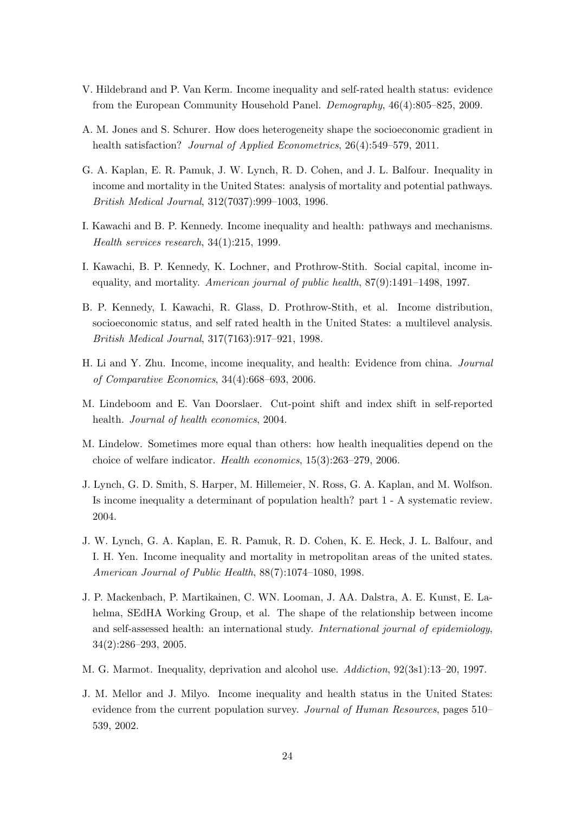- <span id="page-24-4"></span>V. Hildebrand and P. Van Kerm. Income inequality and self-rated health status: evidence from the European Community Household Panel. Demography, 46(4):805–825, 2009.
- <span id="page-24-12"></span>A. M. Jones and S. Schurer. How does heterogeneity shape the socioeconomic gradient in health satisfaction? *Journal of Applied Econometrics*, 26(4):549–579, 2011.
- <span id="page-24-6"></span>G. A. Kaplan, E. R. Pamuk, J. W. Lynch, R. D. Cohen, and J. L. Balfour. Inequality in income and mortality in the United States: analysis of mortality and potential pathways. British Medical Journal, 312(7037):999–1003, 1996.
- <span id="page-24-11"></span>I. Kawachi and B. P. Kennedy. Income inequality and health: pathways and mechanisms. Health services research, 34(1):215, 1999.
- <span id="page-24-8"></span>I. Kawachi, B. P. Kennedy, K. Lochner, and Prothrow-Stith. Social capital, income inequality, and mortality. American journal of public health, 87(9):1491–1498, 1997.
- <span id="page-24-1"></span>B. P. Kennedy, I. Kawachi, R. Glass, D. Prothrow-Stith, et al. Income distribution, socioeconomic status, and self rated health in the United States: a multilevel analysis. British Medical Journal, 317(7163):917–921, 1998.
- <span id="page-24-3"></span>H. Li and Y. Zhu. Income, income inequality, and health: Evidence from china. Journal of Comparative Economics, 34(4):668–693, 2006.
- <span id="page-24-5"></span>M. Lindeboom and E. Van Doorslaer. Cut-point shift and index shift in self-reported health. Journal of health economics, 2004.
- <span id="page-24-10"></span>M. Lindelow. Sometimes more equal than others: how health inequalities depend on the choice of welfare indicator. Health economics, 15(3):263–279, 2006.
- <span id="page-24-13"></span>J. Lynch, G. D. Smith, S. Harper, M. Hillemeier, N. Ross, G. A. Kaplan, and M. Wolfson. Is income inequality a determinant of population health? part 1 - A systematic review. 2004.
- <span id="page-24-7"></span>J. W. Lynch, G. A. Kaplan, E. R. Pamuk, R. D. Cohen, K. E. Heck, J. L. Balfour, and I. H. Yen. Income inequality and mortality in metropolitan areas of the united states. American Journal of Public Health, 88(7):1074–1080, 1998.
- <span id="page-24-0"></span>J. P. Mackenbach, P. Martikainen, C. WN. Looman, J. AA. Dalstra, A. E. Kunst, E. Lahelma, SEdHA Working Group, et al. The shape of the relationship between income and self-assessed health: an international study. International journal of epidemiology, 34(2):286–293, 2005.
- <span id="page-24-9"></span>M. G. Marmot. Inequality, deprivation and alcohol use. Addiction, 92(3s1):13–20, 1997.
- <span id="page-24-2"></span>J. M. Mellor and J. Milyo. Income inequality and health status in the United States: evidence from the current population survey. *Journal of Human Resources*, pages 510– 539, 2002.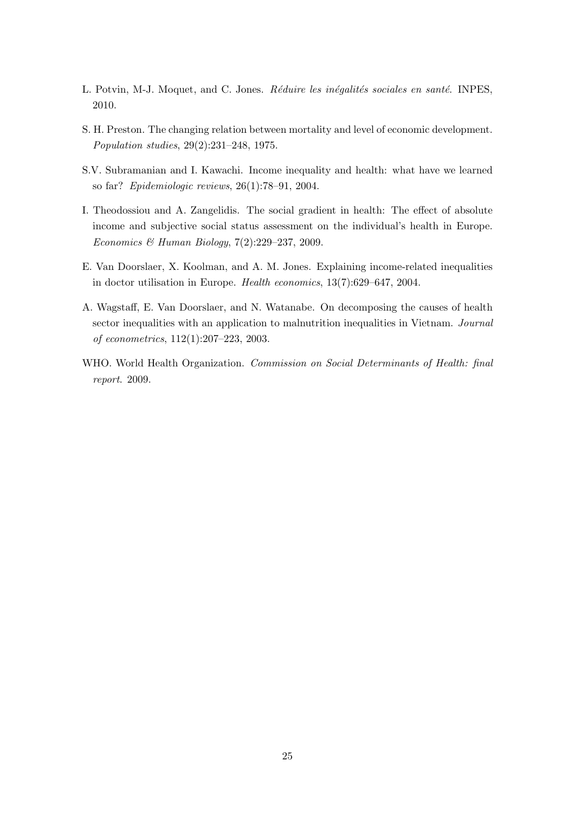- <span id="page-25-1"></span>L. Potvin, M-J. Moquet, and C. Jones. Réduire les inégalités sociales en santé. INPES, 2010.
- <span id="page-25-2"></span>S. H. Preston. The changing relation between mortality and level of economic development. Population studies, 29(2):231–248, 1975.
- <span id="page-25-6"></span>S.V. Subramanian and I. Kawachi. Income inequality and health: what have we learned so far? Epidemiologic reviews, 26(1):78–91, 2004.
- <span id="page-25-3"></span>I. Theodossiou and A. Zangelidis. The social gradient in health: The effect of absolute income and subjective social status assessment on the individual's health in Europe. Economics & Human Biology, 7(2):229–237, 2009.
- <span id="page-25-5"></span>E. Van Doorslaer, X. Koolman, and A. M. Jones. Explaining income-related inequalities in doctor utilisation in Europe. Health economics, 13(7):629–647, 2004.
- <span id="page-25-4"></span>A. Wagstaff, E. Van Doorslaer, and N. Watanabe. On decomposing the causes of health sector inequalities with an application to malnutrition inequalities in Vietnam. Journal of econometrics, 112(1):207–223, 2003.
- <span id="page-25-0"></span>WHO. World Health Organization. Commission on Social Determinants of Health: final report. 2009.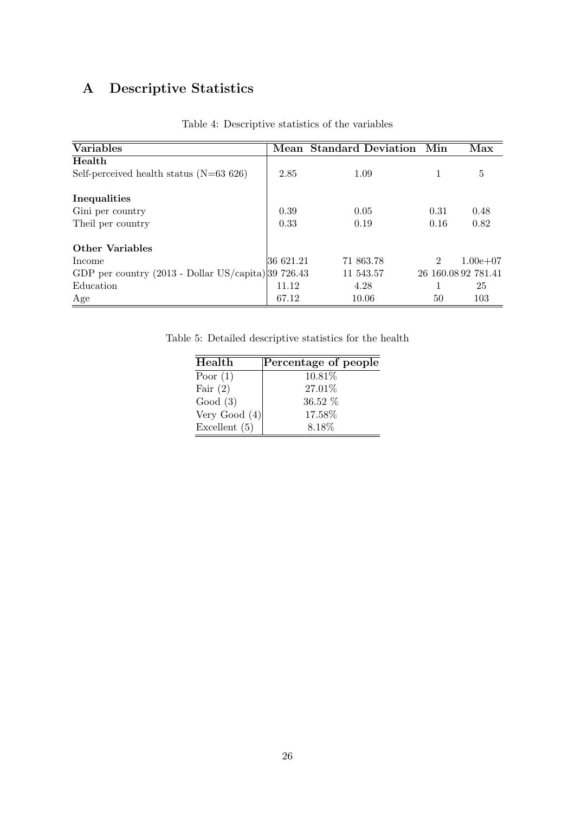# A Descriptive Statistics

<span id="page-26-0"></span>

| <b>Variables</b>                                      |           | <b>Mean Standard Deviation</b> | Min            | Max                 |
|-------------------------------------------------------|-----------|--------------------------------|----------------|---------------------|
| Health                                                |           |                                |                |                     |
| Self-perceived health status $(N=63 626)$             | 2.85      | 1.09                           |                | 5                   |
| Inequalities                                          |           |                                |                |                     |
| Gini per country                                      | 0.39      | 0.05                           | 0.31           | 0.48                |
| Theil per country                                     | 0.33      | 0.19                           | 0.16           | 0.82                |
| Other Variables                                       |           |                                |                |                     |
| Income                                                | 36 621.21 | 71 863.78                      | $\mathfrak{D}$ | $1.00e + 07$        |
| GDP per country $(2013 - Dollar US/capita) 39 726.43$ |           | 11 543.57                      |                | 26 160.08 92 781.41 |
| Education                                             | 11.12     | 4.28                           |                | 25                  |
| Age                                                   | 67.12     | 10.06                          | 50             | 103                 |

Table 4: Descriptive statistics of the variables

<span id="page-26-1"></span>Table 5: Detailed descriptive statistics for the health

| Percentage of people      |
|---------------------------|
| 10.81%                    |
| 27.01%                    |
| $36.52\%$                 |
| Very Good $(4)$<br>17.58% |
| 8.18\%                    |
|                           |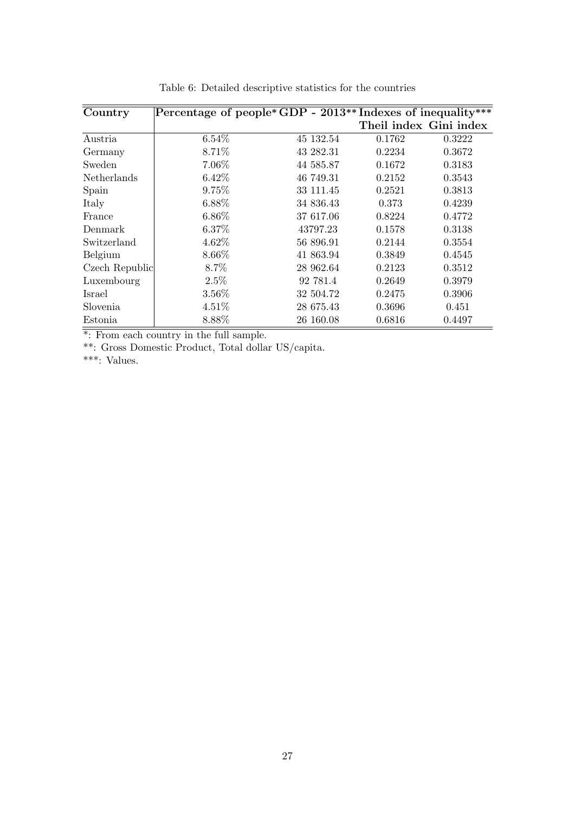<span id="page-27-0"></span>

| Country            | Percentage of people*GDP - 2013** Indexes of inequality*** |           |                        |        |
|--------------------|------------------------------------------------------------|-----------|------------------------|--------|
|                    |                                                            |           | Theil index Gini index |        |
| Austria            | 6.54%                                                      | 45 132.54 | 0.1762                 | 0.3222 |
| Germany            | 8.71%                                                      | 43 282.31 | 0.2234                 | 0.3672 |
| Sweden             | 7.06%                                                      | 44 585.87 | 0.1672                 | 0.3183 |
| <b>Netherlands</b> | 6.42%                                                      | 46 749.31 | 0.2152                 | 0.3543 |
| Spain              | 9.75%                                                      | 33 111.45 | 0.2521                 | 0.3813 |
| Italy              | 6.88%                                                      | 34 836.43 | 0.373                  | 0.4239 |
| France             | $6.86\%$                                                   | 37 617.06 | 0.8224                 | 0.4772 |
| Denmark            | 6.37%                                                      | 43797.23  | 0.1578                 | 0.3138 |
| Switzerland        | 4.62%                                                      | 56 896.91 | 0.2144                 | 0.3554 |
| Belgium            | 8.66%                                                      | 41 863.94 | 0.3849                 | 0.4545 |
| Czech Republic     | 8.7%                                                       | 28 962.64 | 0.2123                 | 0.3512 |
| Luxembourg         | 2.5%                                                       | 92 781.4  | 0.2649                 | 0.3979 |
| <b>Israel</b>      | 3.56%                                                      | 32 504.72 | 0.2475                 | 0.3906 |
| Slovenia           | 4.51%                                                      | 28 675.43 | 0.3696                 | 0.451  |
| Estonia            | 8.88%                                                      | 26 160.08 | 0.6816                 | 0.4497 |

Table 6: Detailed descriptive statistics for the countries

\*: From each country in the full sample.

\*\*: Gross Domestic Product, Total dollar US/capita.

\*\*\*: Values.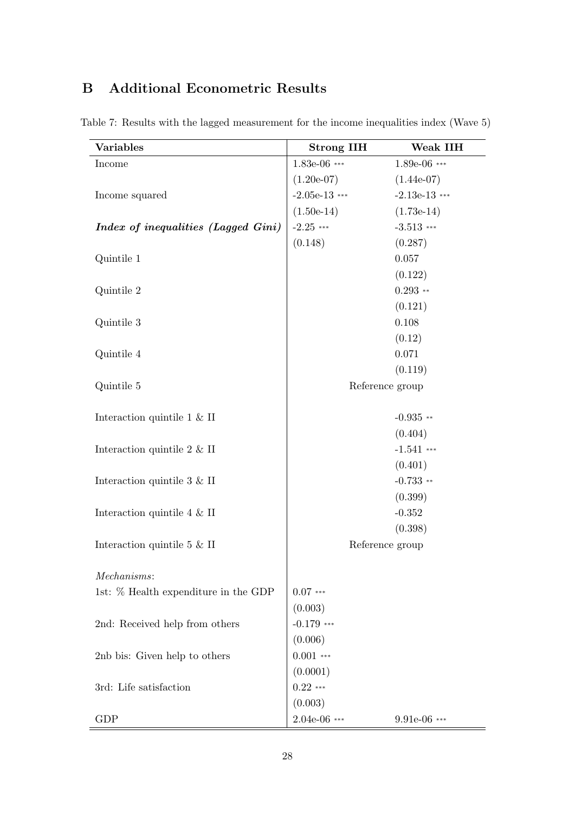# B Additional Econometric Results

| <b>Variables</b>                      | <b>Strong IIH</b> | Weak IIH        |
|---------------------------------------|-------------------|-----------------|
| Income                                | $1.83e-06$ ***    | $1.89e-06$ ***  |
|                                       | $(1.20e-07)$      | $(1.44e-07)$    |
| Income squared                        | $-2.05e-13$ ***   | $-2.13e-13$ *** |
|                                       | $(1.50e-14)$      | $(1.73e-14)$    |
| Index of inequalities (Lagged Gini)   | $-2.25$ ***       | $-3.513$ ***    |
|                                       | (0.148)           | (0.287)         |
| Quintile 1                            |                   | 0.057           |
|                                       |                   | (0.122)         |
| Quintile 2                            |                   | $0.293**$       |
|                                       |                   | (0.121)         |
| Quintile 3                            |                   | 0.108           |
|                                       |                   | (0.12)          |
| Quintile 4                            |                   | 0.071           |
|                                       |                   | (0.119)         |
| Quintile 5                            |                   | Reference group |
| Interaction quintile $1 \& \text{II}$ |                   | $-0.935$ **     |
|                                       |                   | (0.404)         |
| Interaction quintile $2 \& \text{II}$ |                   | $-1.541$ ***    |
|                                       |                   | (0.401)         |
| Interaction quintile $3 \& \text{II}$ |                   | $-0.733$ **     |
|                                       |                   | (0.399)         |
| Interaction quintile $4 \& \text{II}$ |                   | $-0.352$        |
|                                       |                   | (0.398)         |
| Interaction quintile $5 \& \text{II}$ |                   | Reference group |
| Mechanisms:                           |                   |                 |
| 1st: % Health expenditure in the GDP  | $0.07***$         |                 |
|                                       | (0.003)           |                 |
| 2nd: Received help from others        | $-0.179$ ***      |                 |
|                                       | (0.006)           |                 |
| 2nb bis: Given help to others         | $0.001$ ***       |                 |
|                                       | (0.0001)          |                 |
| 3rd: Life satisfaction                | $0.22$ ***        |                 |
|                                       | (0.003)           |                 |
| GDP                                   | $2.04e-06$ ***    | 9.91e-06 ***    |

<span id="page-28-0"></span>Table 7: Results with the lagged measurement for the income inequalities index (Wave 5)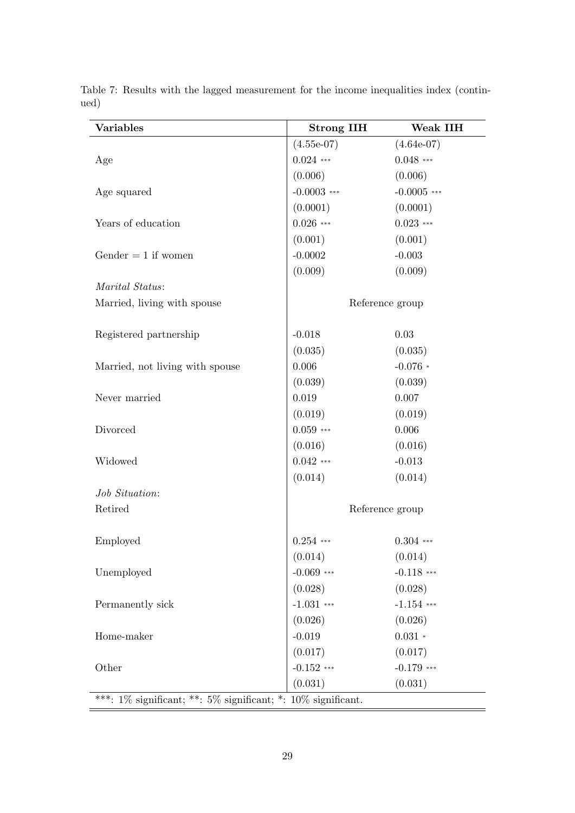| <b>Variables</b>                                                      | <b>Strong IIH</b> | Weak IIH      |  |  |
|-----------------------------------------------------------------------|-------------------|---------------|--|--|
|                                                                       | $(4.55e-07)$      | $(4.64e-07)$  |  |  |
| Age                                                                   | $0.024$ ***       | $0.048$ ***   |  |  |
|                                                                       | (0.006)           | (0.006)       |  |  |
| Age squared                                                           | $-0.0003$ ***     | $-0.0005$ *** |  |  |
|                                                                       | (0.0001)          | (0.0001)      |  |  |
| Years of education                                                    | $0.026$ ***       | $0.023$ ***   |  |  |
|                                                                       | (0.001)           | (0.001)       |  |  |
| Gender $= 1$ if women                                                 | $-0.0002$         | $-0.003$      |  |  |
|                                                                       | (0.009)           | (0.009)       |  |  |
| Marital Status:                                                       |                   |               |  |  |
| Married, living with spouse                                           | Reference group   |               |  |  |
|                                                                       |                   |               |  |  |
| Registered partnership                                                | $-0.018$          | 0.03          |  |  |
|                                                                       | (0.035)           | (0.035)       |  |  |
| Married, not living with spouse                                       | 0.006             | $-0.076*$     |  |  |
|                                                                       | (0.039)           | (0.039)       |  |  |
| Never married                                                         | 0.019             | 0.007         |  |  |
|                                                                       | (0.019)           | (0.019)       |  |  |
| Divorced                                                              | $0.059$ ***       | 0.006         |  |  |
|                                                                       | (0.016)           | (0.016)       |  |  |
| Widowed                                                               | $0.042$ ***       | $-0.013$      |  |  |
|                                                                       | (0.014)           | (0.014)       |  |  |
| Job Situation:                                                        |                   |               |  |  |
| Retired                                                               | Reference group   |               |  |  |
|                                                                       |                   |               |  |  |
| Employed                                                              | $0.254$ ***       | $0.304$ ***   |  |  |
|                                                                       | (0.014)           | (0.014)       |  |  |
| Unemployed                                                            | $-0.069$ ***      | $-0.118$ ***  |  |  |
|                                                                       | (0.028)           | (0.028)       |  |  |
| Permanently sick                                                      | $-1.031$ ***      | $-1.154$ ***  |  |  |
|                                                                       | (0.026)           | (0.026)       |  |  |
| Home-maker                                                            | $-0.019$          | $0.031 *$     |  |  |
|                                                                       | (0.017)           | (0.017)       |  |  |
| Other                                                                 | $-0.152$ ***      | $-0.179$ ***  |  |  |
|                                                                       | (0.031)           | (0.031)       |  |  |
| ***: $1\%$ significant; **: $5\%$ significant; *: $10\%$ significant. |                   |               |  |  |

Table 7: Results with the lagged measurement for the income inequalities index (continued)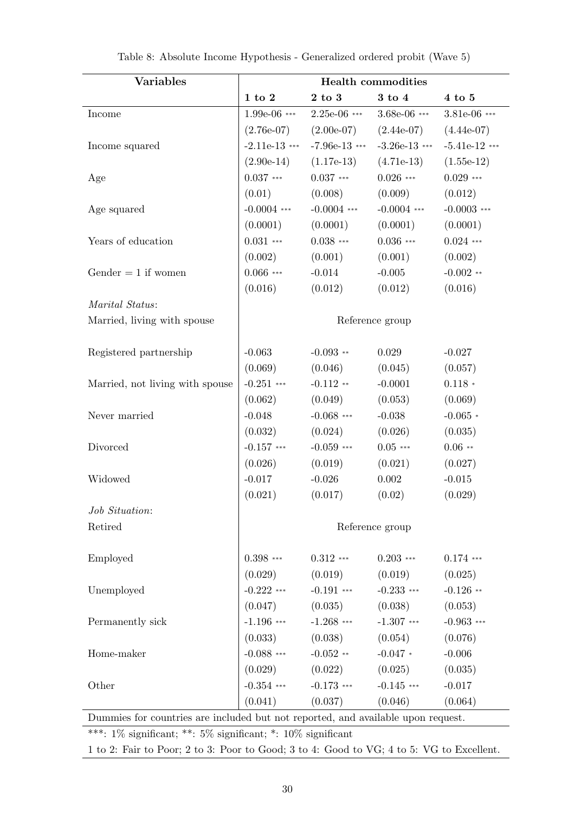<span id="page-30-0"></span>

| <b>Variables</b>                                                                 | <b>Health commodities</b> |                                         |                 |                  |  |  |
|----------------------------------------------------------------------------------|---------------------------|-----------------------------------------|-----------------|------------------|--|--|
|                                                                                  | $1$ to $2$                | 2 to 3                                  | 3 to 4          | $4\ {\rm to}\ 5$ |  |  |
| Income                                                                           | $1.99e-06$ ***            | $2.25e-06$ ***                          | $3.68e-06$ ***  | 3.81e-06 ***     |  |  |
|                                                                                  | $(2.76e-07)$              | $(2.00e-07)$                            | $(2.44e-07)$    | $(4.44e-07)$     |  |  |
| Income squared                                                                   | $-2.11e-13$ ***           | $-7.96e-13$ ***                         | $-3.26e-13$ *** | $-5.41e-12$ ***  |  |  |
|                                                                                  | $(2.90e-14)$              | $(1.17e-13)$                            | $(4.71e-13)$    | $(1.55e-12)$     |  |  |
| Age                                                                              | $0.037$ ***               | $0.037$ ***                             | $0.026$ ***     | $0.029$ ***      |  |  |
|                                                                                  | (0.01)                    | (0.008)                                 | (0.009)         | (0.012)          |  |  |
| Age squared                                                                      | $-0.0004$ ***             | $-0.0004$ ***                           | $-0.0004$ ***   | $-0.0003$ ***    |  |  |
|                                                                                  | (0.0001)                  | (0.0001)                                | (0.0001)        | (0.0001)         |  |  |
| Years of education                                                               | $0.031***$                | $0.038$ ***                             | $0.036$ ***     | $0.024$ ***      |  |  |
|                                                                                  | (0.002)                   | (0.001)                                 | (0.001)         | (0.002)          |  |  |
| Gender $= 1$ if women                                                            | $0.066$ ***               | $-0.014$                                | $-0.005$        | $-0.002$ **      |  |  |
|                                                                                  | (0.016)                   | (0.012)                                 | (0.012)         | (0.016)          |  |  |
| Marital Status:                                                                  |                           |                                         |                 |                  |  |  |
| Married, living with spouse                                                      |                           |                                         | Reference group |                  |  |  |
| Registered partnership                                                           | $-0.063$                  | $-0.093$ **                             | 0.029           | $-0.027$         |  |  |
|                                                                                  | (0.069)                   | (0.046)                                 | (0.045)         | (0.057)          |  |  |
| Married, not living with spouse                                                  | $-0.251$ ***              | $-0.112**$                              | $-0.0001$       | $0.118 *$        |  |  |
|                                                                                  | (0.062)                   | (0.049)                                 | (0.053)         | (0.069)          |  |  |
| Never married                                                                    | $-0.048$                  | $-0.068$ ***                            | $-0.038$        | $-0.065*$        |  |  |
|                                                                                  | (0.032)                   | (0.024)                                 | (0.026)         | (0.035)          |  |  |
| Divorced                                                                         | $-0.157$ ***              | $-0.059$ ***                            | $0.05***$       | $0.06**$         |  |  |
|                                                                                  | (0.026)                   | (0.019)                                 | (0.021)         | (0.027)          |  |  |
| Widowed                                                                          | $-0.017$                  | $-0.015$                                |                 |                  |  |  |
|                                                                                  | (0.021)                   | (0.017)                                 | (0.02)          | (0.029)          |  |  |
| Job Situation:                                                                   |                           |                                         |                 |                  |  |  |
| Retired                                                                          |                           |                                         | Reference group |                  |  |  |
| Employed                                                                         | $0.398$ ***               | $0.312$ ***                             | $0.203$ ***     | $0.174$ ***      |  |  |
|                                                                                  | (0.029)                   | (0.019)                                 | (0.019)         | (0.025)          |  |  |
| Unemployed                                                                       |                           | $-0.222$ *** $-0.191$ ***               | $-0.233$ ***    | $-0.126$ **      |  |  |
|                                                                                  |                           | $(0.047)$ $(0.035)$ $(0.038)$ $(0.053)$ |                 |                  |  |  |
| Permanently sick                                                                 |                           | $-1.196$ *** $-1.268$ *** $-1.307$ ***  |                 | $-0.963$ ***     |  |  |
|                                                                                  |                           | $(0.033)$ $(0.038)$ $(0.054)$           |                 | (0.076)          |  |  |
| Home-maker                                                                       |                           | $-0.088$ *** $-0.052$ **                | $-0.047$ *      | $-0.006$         |  |  |
|                                                                                  |                           | $(0.029)$ $(0.022)$ $(0.025)$           |                 | (0.035)          |  |  |
| Other                                                                            | $-0.354$ ***              | $-0.173$ ***                            | $-0.145$ ***    | $-0.017$         |  |  |
|                                                                                  | (0.041)                   | (0.037)                                 | (0.046)         | (0.064)          |  |  |
| Dummies for countries are included but not reported, and available upon request. |                           |                                         |                 |                  |  |  |
| ***: $1\%$ significant; **: $5\%$ significant; *: $10\%$ significant             |                           |                                         |                 |                  |  |  |

| Table 8: Absolute Income Hypothesis - Generalized ordered probit (Wave 5) |  |  |
|---------------------------------------------------------------------------|--|--|
|---------------------------------------------------------------------------|--|--|

1 to 2: Fair to Poor; 2 to 3: Poor to Good; 3 to 4: Good to VG; 4 to 5: VG to Excellent.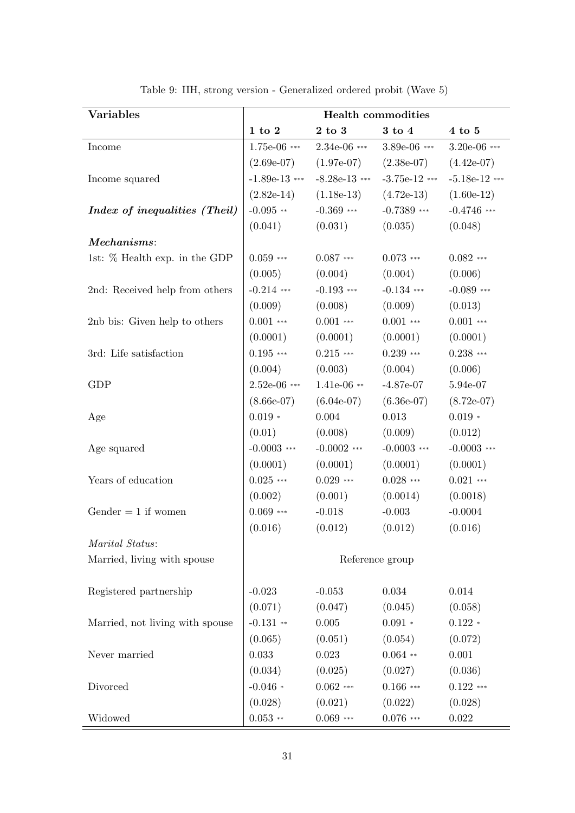<span id="page-31-0"></span>

| <b>Variables</b>                | <b>Health commodities</b> |                  |                  |                 |  |
|---------------------------------|---------------------------|------------------|------------------|-----------------|--|
|                                 | $1$ to $2$                | $2\ {\rm to}\ 3$ | $3\ {\rm to}\ 4$ | $4$ to $5$      |  |
| Income                          | $1.75e-06$ ***            | $2.34e-06$ ***   | $3.89e-06$ ***   | $3.20e-06$ ***  |  |
|                                 | $(2.69e-07)$              | $(1.97e-07)$     | $(2.38e-07)$     | $(4.42e-07)$    |  |
| Income squared                  | $-1.89e-13$ ***           | $-8.28e-13$ ***  | $-3.75e-12$ ***  | $-5.18e-12$ *** |  |
|                                 | $(2.82e-14)$              | $(1.18e-13)$     | $(4.72e-13)$     | $(1.60e-12)$    |  |
| Index of inequalities (Theil)   | $-0.095$ **               | $-0.369$ ***     | $-0.7389$ ***    | $-0.4746$ ***   |  |
|                                 | (0.041)                   | (0.031)          | (0.035)          | (0.048)         |  |
| Mechanisms:                     |                           |                  |                  |                 |  |
| 1st: $%$ Health exp. in the GDP | $0.059$ ***               | $0.087$ ***      | $0.073$ ***      | $0.082$ ***     |  |
|                                 | (0.005)                   | (0.004)          | (0.004)          | (0.006)         |  |
| 2nd: Received help from others  | $-0.214$ ***              | $-0.193$ ***     | $-0.134$ ***     | $-0.089$ ***    |  |
|                                 | (0.009)                   | (0.008)          | (0.009)          | (0.013)         |  |
| 2nb bis: Given help to others   | $0.001$ ***               | $0.001$ ***      | $0.001$ ***      | $0.001$ ***     |  |
|                                 | (0.0001)                  | (0.0001)         | (0.0001)         | (0.0001)        |  |
| 3rd: Life satisfaction          | $0.195$ ***               | $0.215$ ***      | $0.239$ ***      | $0.238$ ***     |  |
|                                 | (0.004)                   | (0.003)          | (0.004)          | (0.006)         |  |
| <b>GDP</b>                      | $2.52e-06$ ***            | $1.41e-06$ **    | $-4.87e-07$      | 5.94e-07        |  |
|                                 | $(8.66e-07)$              | $(6.04e-07)$     | $(6.36e-07)$     | $(8.72e-07)$    |  |
| Age                             | $0.019 *$                 | 0.004            | 0.013            | $0.019 *$       |  |
|                                 | (0.01)                    | (0.008)          | (0.009)          | (0.012)         |  |
| Age squared                     | $-0.0003$ ***             | $-0.0002$ ***    | $-0.0003$ ***    | $-0.0003$ ***   |  |
|                                 | (0.0001)                  | (0.0001)         | (0.0001)         | (0.0001)        |  |
| Years of education              | $0.025$ ***               | $0.029$ ***      | $0.028$ ***      | $0.021$ ***     |  |
|                                 | (0.002)                   | (0.001)          | (0.0014)         | (0.0018)        |  |
| Gender $= 1$ if women           | $0.069$ ***               | $-0.018$         | $-0.003$         | $-0.0004$       |  |
|                                 | (0.016)                   | (0.012)          | (0.012)          | (0.016)         |  |
| Marital Status:                 |                           |                  |                  |                 |  |
| Married, living with spouse     |                           |                  | Reference group  |                 |  |
| Registered partnership          | $-0.023$                  | $-0.053$         | 0.034            | 0.014           |  |
|                                 | (0.071)                   | (0.047)          | (0.045)          | (0.058)         |  |
| Married, not living with spouse | $-0.131$ **               | 0.005            | $0.091 *$        | $0.122 *$       |  |
|                                 | (0.065)                   | (0.051)          | (0.054)          | (0.072)         |  |
| Never married                   | 0.033                     | 0.023            | $0.064$ **       | 0.001           |  |
|                                 | (0.034)                   | (0.025)          | (0.027)          | (0.036)         |  |
| Divorced                        | $-0.046*$                 | $0.062$ ***      | $0.166$ ***      | $0.122$ ***     |  |
|                                 | (0.028)                   | (0.021)          | (0.022)          | (0.028)         |  |
| Widowed                         | $0.053$ **                | $0.069$ ***      | $0.076$ ***      | 0.022           |  |

Table 9: IIH, strong version - Generalized ordered probit (Wave 5)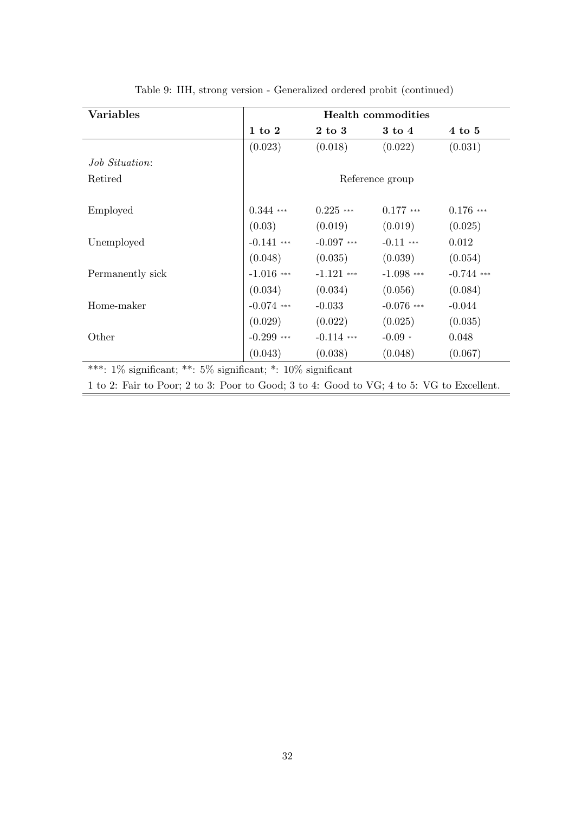| <b>Variables</b>                                                                         | <b>Health commodities</b> |                   |                   |              |  |  |
|------------------------------------------------------------------------------------------|---------------------------|-------------------|-------------------|--------------|--|--|
|                                                                                          | $1$ to $2$                | $2 \text{ to } 3$ | $3 \text{ to } 4$ | $4$ to $5$   |  |  |
|                                                                                          | (0.023)                   | (0.018)           | (0.022)           | (0.031)      |  |  |
| <i>Job Situation:</i>                                                                    |                           |                   |                   |              |  |  |
| Retired                                                                                  | Reference group           |                   |                   |              |  |  |
| Employed                                                                                 | $0.344$ ***               | $0.225$ ***       | $0.177$ ***       | $0.176$ ***  |  |  |
|                                                                                          | (0.03)                    | (0.019)           | (0.019)           | (0.025)      |  |  |
| Unemployed                                                                               | $-0.141$ ***              | $-0.097$ ***      | $-0.11$ ***       | 0.012        |  |  |
|                                                                                          | (0.048)                   | (0.035)           | (0.039)           | (0.054)      |  |  |
| Permanently sick                                                                         | $-1.016$ ***              | $-1.121$ ***      | $-1.098$ ***      | $-0.744$ *** |  |  |
|                                                                                          | (0.034)                   | (0.034)           | (0.056)           | (0.084)      |  |  |
| Home-maker                                                                               | $-0.074$ ***              | $-0.033$          | $-0.076$ ***      | $-0.044$     |  |  |
|                                                                                          | (0.029)                   | (0.022)           | (0.025)           | (0.035)      |  |  |
| Other                                                                                    | $-0.299$ ***              | $-0.114$ ***      | $-0.09 *$         | 0.048        |  |  |
|                                                                                          | (0.043)                   | (0.038)           | (0.048)           | (0.067)      |  |  |
| ***: $1\%$ significant; **: $5\%$ significant; *: $10\%$ significant                     |                           |                   |                   |              |  |  |
| 1 to 2: Fair to Poor; 2 to 3: Poor to Good; 3 to 4: Good to VG; 4 to 5: VG to Excellent. |                           |                   |                   |              |  |  |

Ĩ.

Table 9: IIH, strong version - Generalized ordered probit (continued)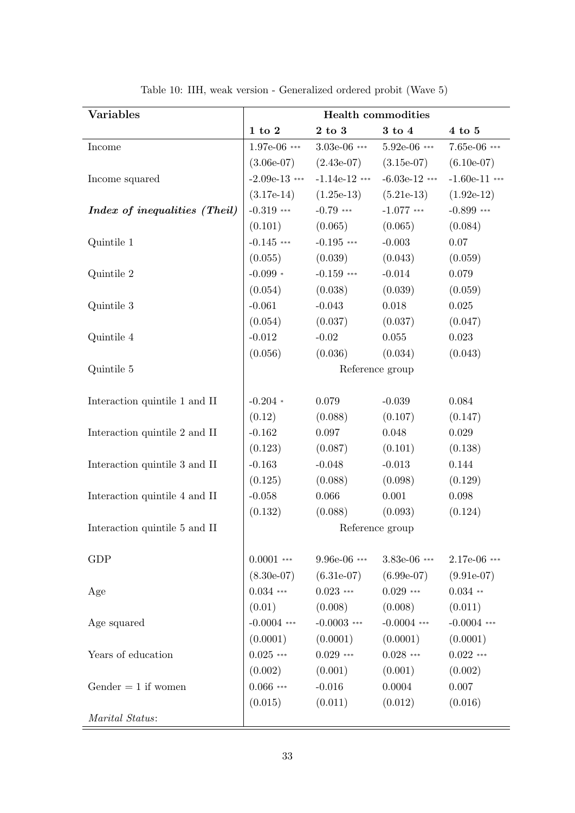<span id="page-33-0"></span>

| <b>Variables</b>              | <b>Health commodities</b>         |                                    |                 |                 |  |  |
|-------------------------------|-----------------------------------|------------------------------------|-----------------|-----------------|--|--|
|                               | $1\ \mathrm{to}\ 2$<br>$2$ to $3$ |                                    | 3 to 4          | $4$ to $5$      |  |  |
| Income                        | $1.97e-06$ ***                    | $3.03e-06$ ***                     | $5.92e-06$ ***  | 7.65e-06 ***    |  |  |
|                               | $(3.06e-07)$                      | $(2.43e-07)$                       | $(3.15e-07)$    | $(6.10e-07)$    |  |  |
| Income squared                | $-2.09e-13$ ***                   | $-1.14e-12$ ***<br>$-6.03e-12$ *** |                 | $-1.60e-11$ *** |  |  |
|                               | $(3.17e-14)$                      | $(1.25e-13)$                       | $(5.21e-13)$    | $(1.92e-12)$    |  |  |
| Index of inequalities (Theil) | $-0.319$ ***                      | $-0.79$ ***                        | $-1.077$ ***    | $-0.899$ ***    |  |  |
|                               | (0.101)                           | (0.065)                            | (0.065)         | (0.084)         |  |  |
| Quintile 1                    | $-0.145$ ***                      | $-0.195$ ***                       | $-0.003$        | $0.07\,$        |  |  |
|                               | (0.055)                           | (0.039)                            | (0.043)         | (0.059)         |  |  |
| Quintile 2                    | $-0.099*$                         | $-0.159$ ***                       | $-0.014$        | 0.079           |  |  |
|                               | (0.054)                           | (0.038)                            | (0.039)         | (0.059)         |  |  |
| Quintile 3                    | $-0.061$                          | $-0.043$                           | 0.018           | 0.025           |  |  |
|                               | (0.054)                           | (0.037)                            | (0.037)         | (0.047)         |  |  |
| Quintile 4                    | $-0.012$                          | $-0.02$                            | 0.055           | 0.023           |  |  |
|                               | (0.056)                           | (0.036)                            | (0.034)         | (0.043)         |  |  |
| Quintile 5                    |                                   |                                    | Reference group |                 |  |  |
|                               |                                   |                                    |                 |                 |  |  |
| Interaction quintile 1 and II | $-0.204$ *                        | 0.079                              | $-0.039$        | 0.084           |  |  |
|                               | (0.12)                            | (0.088)                            | (0.107)         | (0.147)         |  |  |
| Interaction quintile 2 and II | $-0.162$                          | $0.097\,$                          | 0.048           | 0.029           |  |  |
|                               | (0.123)                           | (0.087)                            | (0.101)         | (0.138)         |  |  |
| Interaction quintile 3 and II | $-0.163$                          | $-0.048$                           | $-0.013$        | 0.144           |  |  |
|                               | (0.125)                           | (0.088)                            | (0.098)         | (0.129)         |  |  |
| Interaction quintile 4 and II | $-0.058$                          | 0.066                              | 0.001           | 0.098           |  |  |
|                               | (0.132)                           | (0.088)                            | (0.093)         | (0.124)         |  |  |
| Interaction quintile 5 and II | Reference group                   |                                    |                 |                 |  |  |
| <b>GDP</b>                    | $0.0001$ ***                      | $9.96e-06$ ***                     | 3.83e-06 ***    | 2.17e-06 ***    |  |  |
|                               | $(8.30e-07)$                      | $(6.31e-07)$                       | $(6.99e-07)$    | $(9.91e-07)$    |  |  |
| Age                           | $0.034$ ***                       | $0.023$ ***                        | $0.029$ ***     | $0.034$ **      |  |  |
|                               | (0.01)                            | (0.008)                            | (0.008)         | (0.011)         |  |  |
| Age squared                   | $-0.0004$ ***                     | $-0.0003$ ***                      | $-0.0004$ ***   | $-0.0004$ ***   |  |  |
|                               | (0.0001)                          | (0.0001)                           | (0.0001)        | (0.0001)        |  |  |
| Years of education            | $0.025$ ***                       | $0.029$ ***                        | $0.028$ ***     | $0.022$ ***     |  |  |
|                               | (0.002)                           | (0.001)                            | (0.001)         | (0.002)         |  |  |
| Gender $= 1$ if women         | $0.066$ ***                       | $-0.016$                           | 0.0004          | 0.007           |  |  |
|                               | (0.015)                           | (0.011)                            | (0.012)         | (0.016)         |  |  |
| Marital Status:               |                                   |                                    |                 |                 |  |  |

Table 10: IIH, weak version - Generalized ordered probit (Wave 5)